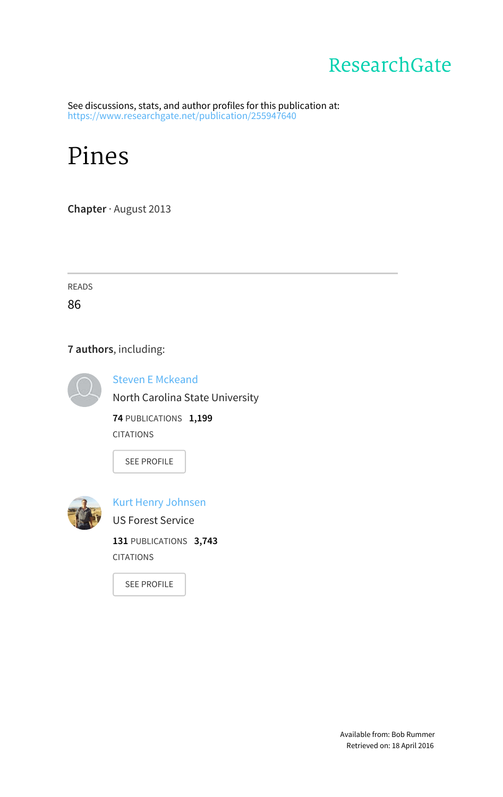# ResearchGate

See discussions, stats, and author profiles for this publication at: [https://www.researchgate.net/publication/255947640](https://www.researchgate.net/publication/255947640_Pines?enrichId=rgreq-ebed6cfa-9cee-4796-b582-b88b9e367ea6&enrichSource=Y292ZXJQYWdlOzI1NTk0NzY0MDtBUzo5NzA3ODUyMDg0NDMwMUAxNDAwMTU2NzMyMzMw&el=1_x_2)

# [Pines](https://www.researchgate.net/publication/255947640_Pines?enrichId=rgreq-ebed6cfa-9cee-4796-b582-b88b9e367ea6&enrichSource=Y292ZXJQYWdlOzI1NTk0NzY0MDtBUzo5NzA3ODUyMDg0NDMwMUAxNDAwMTU2NzMyMzMw&el=1_x_3)

**Chapter** · August 2013

READS

86

**7 authors**, including:

Steven E [Mckeand](https://www.researchgate.net/profile/Steven_Mckeand?enrichId=rgreq-ebed6cfa-9cee-4796-b582-b88b9e367ea6&enrichSource=Y292ZXJQYWdlOzI1NTk0NzY0MDtBUzo5NzA3ODUyMDg0NDMwMUAxNDAwMTU2NzMyMzMw&el=1_x_5) North Carolina State [University](https://www.researchgate.net/institution/North_Carolina_State_University?enrichId=rgreq-ebed6cfa-9cee-4796-b582-b88b9e367ea6&enrichSource=Y292ZXJQYWdlOzI1NTk0NzY0MDtBUzo5NzA3ODUyMDg0NDMwMUAxNDAwMTU2NzMyMzMw&el=1_x_6) **74** PUBLICATIONS **1,199** CITATIONS

SEE [PROFILE](https://www.researchgate.net/profile/Steven_Mckeand?enrichId=rgreq-ebed6cfa-9cee-4796-b582-b88b9e367ea6&enrichSource=Y292ZXJQYWdlOzI1NTk0NzY0MDtBUzo5NzA3ODUyMDg0NDMwMUAxNDAwMTU2NzMyMzMw&el=1_x_7)



Kurt Henry [Johnsen](https://www.researchgate.net/profile/Kurt_Johnsen?enrichId=rgreq-ebed6cfa-9cee-4796-b582-b88b9e367ea6&enrichSource=Y292ZXJQYWdlOzI1NTk0NzY0MDtBUzo5NzA3ODUyMDg0NDMwMUAxNDAwMTU2NzMyMzMw&el=1_x_5)

US Forest [Service](https://www.researchgate.net/institution/US_Forest_Service?enrichId=rgreq-ebed6cfa-9cee-4796-b582-b88b9e367ea6&enrichSource=Y292ZXJQYWdlOzI1NTk0NzY0MDtBUzo5NzA3ODUyMDg0NDMwMUAxNDAwMTU2NzMyMzMw&el=1_x_6) **131** PUBLICATIONS **3,743** CITATIONS

SEE [PROFILE](https://www.researchgate.net/profile/Kurt_Johnsen?enrichId=rgreq-ebed6cfa-9cee-4796-b582-b88b9e367ea6&enrichSource=Y292ZXJQYWdlOzI1NTk0NzY0MDtBUzo5NzA3ODUyMDg0NDMwMUAxNDAwMTU2NzMyMzMw&el=1_x_7)

Available from: Bob Rummer Retrieved on: 18 April 2016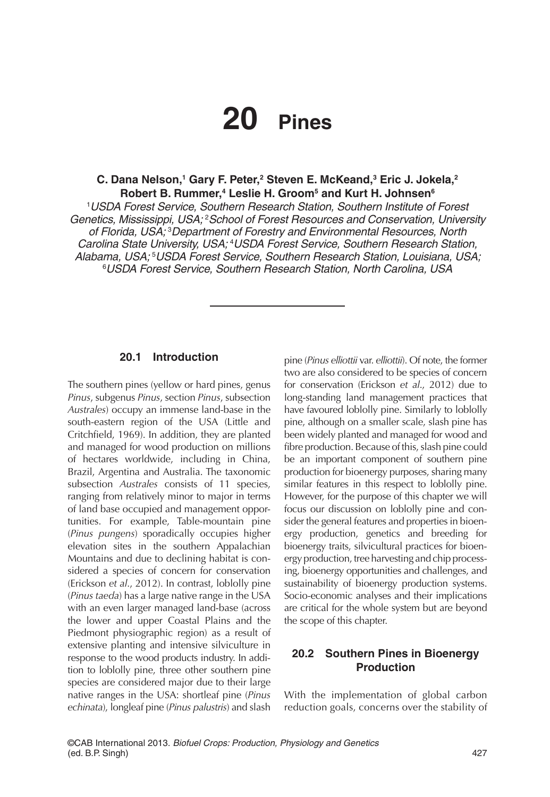# **20 Pines**

## **C. Dana Nelson,1 Gary F. Peter,<sup>2</sup> Steven E. McKeand,3 Eric J. Jokela,<sup>2</sup>** Robert B. Rummer,<sup>4</sup> Leslie H. Groom<sup>5</sup> and Kurt H. Johnsen<sup>6</sup>

<sup>1</sup> USDA Forest Service, Southern Research Station, Southern Institute of Forest Genetics, Mississippi, USA;<sup>2</sup> School of Forest Resources and Conservation, University *of Florida, USA;* <sup>3</sup> *Department of Forestry and Environmental Resources, North Carolina State University, USA;* <sup>4</sup> *USDA Forest Service, Southern Research Station, Alabama, USA;* <sup>5</sup> *USDA Forest Service, Southern Research Station, Louisiana, USA;* 6 *USDA Forest Service, Southern Research Station, North Carolina, USA*

### **20.1 Introduction**

The southern pines (yellow or hard pines, genus *Pinus*, subgenus *Pinus*, section *Pinus*, subsection *Australes*) occupy an immense land-base in the south-eastern region of the USA (Little and Critchfield, 1969). In addition, they are planted and managed for wood production on millions of hectares worldwide, including in China, Brazil, Argentina and Australia. The taxonomic subsection *Australes* consists of 11 species, ranging from relatively minor to major in terms of land base occupied and management opportunities. For example, Table-mountain pine (*Pinus pungens*) sporadically occupies higher elevation sites in the southern Appalachian Mountains and due to declining habitat is considered a species of concern for conservation (Erickson *et al*., 2012). In contrast, loblolly pine (*Pinus taeda*) has a large native range in the USA with an even larger managed land-base (across the lower and upper Coastal Plains and the Piedmont physiographic region) as a result of extensive planting and intensive silviculture in response to the wood products industry. In addition to loblolly pine, three other southern pine species are considered major due to their large native ranges in the USA: shortleaf pine (*Pinus echinata*), longleaf pine (*Pinus palustris*) and slash pine (*Pinus elliottii* var. *elliottii*). Of note, the former two are also considered to be species of concern for conservation (Erickson *et al*., 2012) due to long-standing land management practices that have favoured loblolly pine. Similarly to loblolly pine, although on a smaller scale, slash pine has been widely planted and managed for wood and fibre production. Because of this, slash pine could be an important component of southern pine production for bioenergy purposes, sharing many similar features in this respect to loblolly pine. However, for the purpose of this chapter we will focus our discussion on loblolly pine and consider the general features and properties in bioenergy production, genetics and breeding for bioenergy traits, silvicultural practices for bioenergy production, tree harvesting and chip processing, bioenergy opportunities and challenges, and sustainability of bioenergy production systems. Socio-economic analyses and their implications are critical for the whole system but are beyond the scope of this chapter.

# **20.2 Southern Pines in Bioenergy Production**

With the implementation of global carbon reduction goals, concerns over the stability of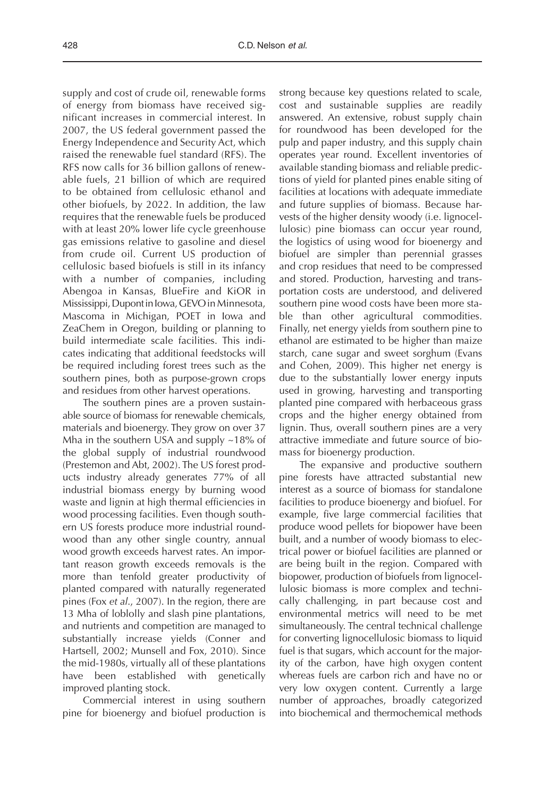supply and cost of crude oil, renewable forms of energy from biomass have received significant increases in commercial interest. In 2007, the US federal government passed the Energy Independence and Security Act, which raised the renewable fuel standard (RFS). The RFS now calls for 36 billion gallons of renewable fuels, 21 billion of which are required to be obtained from cellulosic ethanol and other biofuels, by 2022. In addition, the law requires that the renewable fuels be produced with at least 20% lower life cycle greenhouse gas emissions relative to gasoline and diesel from crude oil. Current US production of cellulosic based biofuels is still in its infancy with a number of companies, including Abengoa in Kansas, BlueFire and KiOR in Mississippi, Dupont in Iowa, GEVO in Minnesota, Mascoma in Michigan, POET in Iowa and ZeaChem in Oregon, building or planning to build intermediate scale facilities. This indicates indicating that additional feedstocks will be required including forest trees such as the southern pines, both as purpose-grown crops and residues from other harvest operations.

The southern pines are a proven sustainable source of biomass for renewable chemicals, materials and bioenergy. They grow on over 37 Mha in the southern USA and supply ~18% of the global supply of industrial roundwood (Prestemon and Abt, 2002). The US forest products industry already generates 77% of all industrial biomass energy by burning wood waste and lignin at high thermal efficiencies in wood processing facilities. Even though southern US forests produce more industrial roundwood than any other single country, annual wood growth exceeds harvest rates. An important reason growth exceeds removals is the more than tenfold greater productivity of planted compared with naturally regenerated pines (Fox *et al*., 2007). In the region, there are 13 Mha of loblolly and slash pine plantations, and nutrients and competition are managed to substantially increase yields (Conner and Hartsell, 2002; Munsell and Fox, 2010). Since the mid-1980s, virtually all of these plantations have been established with genetically improved planting stock.

Commercial interest in using southern pine for bioenergy and biofuel production is strong because key questions related to scale, cost and sustainable supplies are readily answered. An extensive, robust supply chain for roundwood has been developed for the pulp and paper industry, and this supply chain operates year round. Excellent inventories of available standing biomass and reliable predictions of yield for planted pines enable siting of facilities at locations with adequate immediate and future supplies of biomass. Because harvests of the higher density woody (i.e. lignocellulosic) pine biomass can occur year round, the logistics of using wood for bioenergy and biofuel are simpler than perennial grasses and crop residues that need to be compressed and stored. Production, harvesting and transportation costs are understood, and delivered southern pine wood costs have been more stable than other agricultural commodities. Finally, net energy yields from southern pine to ethanol are estimated to be higher than maize starch, cane sugar and sweet sorghum (Evans and Cohen, 2009). This higher net energy is due to the substantially lower energy inputs used in growing, harvesting and transporting planted pine compared with herbaceous grass crops and the higher energy obtained from lignin. Thus, overall southern pines are a very attractive immediate and future source of biomass for bioenergy production.

The expansive and productive southern pine forests have attracted substantial new interest as a source of biomass for standalone facilities to produce bioenergy and biofuel. For example, five large commercial facilities that produce wood pellets for biopower have been built, and a number of woody biomass to electrical power or biofuel facilities are planned or are being built in the region. Compared with biopower, production of biofuels from lignocellulosic biomass is more complex and technically challenging, in part because cost and environmental metrics will need to be met simultaneously. The central technical challenge for converting lignocellulosic biomass to liquid fuel is that sugars, which account for the majority of the carbon, have high oxygen content whereas fuels are carbon rich and have no or very low oxygen content. Currently a large number of approaches, broadly categorized into biochemical and thermochemical methods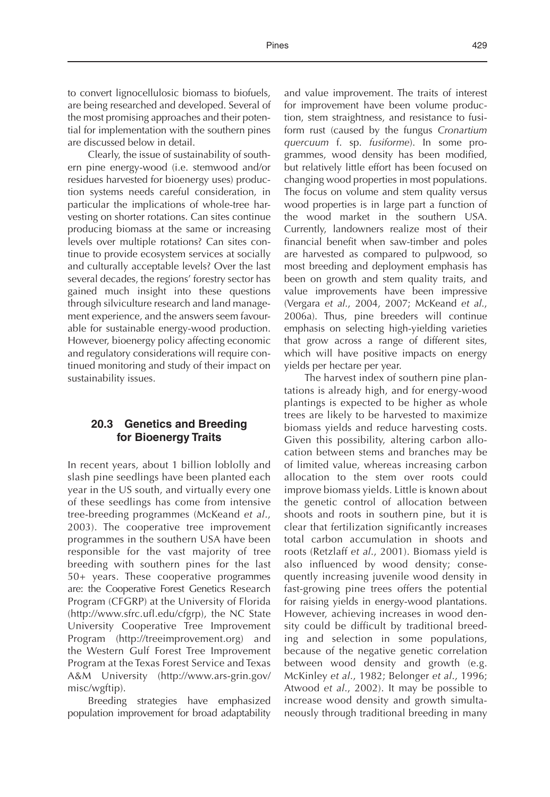to convert lignocellulosic biomass to biofuels, are being researched and developed. Several of the most promising approaches and their potential for implementation with the southern pines are discussed below in detail.

Clearly, the issue of sustainability of southern pine energy-wood (i.e. stemwood and/or residues harvested for bioenergy uses) production systems needs careful consideration, in particular the implications of whole-tree harvesting on shorter rotations. Can sites continue producing biomass at the same or increasing levels over multiple rotations? Can sites continue to provide ecosystem services at socially and culturally acceptable levels? Over the last several decades, the regions' forestry sector has gained much insight into these questions through silviculture research and land management experience, and the answers seem favourable for sustainable energy-wood production. However, bioenergy policy affecting economic and regulatory considerations will require continued monitoring and study of their impact on sustainability issues.

### **20.3 Genetics and Breeding for Bioenergy Traits**

In recent years, about 1 billion loblolly and slash pine seedlings have been planted each year in the US south, and virtually every one of these seedlings has come from intensive tree-breeding programmes (McKeand *et al*., 2003). The cooperative tree improvement programmes in the southern USA have been responsible for the vast majority of tree breeding with southern pines for the last 50+ years. These cooperative programmes are: the Cooperative Forest Genetics Research Program (CFGRP) at the University of Florida [\(http://www.sfrc.ufl.edu/cfgrp](http://www.sfrc.ufl.edu/cfgrp)), the NC State University Cooperative Tree Improvement Program [\(http://treeimprovement.org\)](http://treeimprovement.org) and the Western Gulf Forest Tree Improvement Program at the Texas Forest Service and Texas A&M University [\(http://www.ars-grin.gov/](http://www.ars-grin.gov/misc/wgftip) [misc/wgftip](http://www.ars-grin.gov/misc/wgftip)).

Breeding strategies have emphasized population improvement for broad adaptability and value improvement. The traits of interest for improvement have been volume production, stem straightness, and resistance to fusiform rust (caused by the fungus *Cronartium quercuum* f. sp. *fusiforme*). In some programmes, wood density has been modified, but relatively little effort has been focused on changing wood properties in most populations. The focus on volume and stem quality versus wood properties is in large part a function of the wood market in the southern USA. Currently, landowners realize most of their financial benefit when saw-timber and poles are harvested as compared to pulpwood, so most breeding and deployment emphasis has been on growth and stem quality traits, and value improvements have been impressive (Vergara *et al*., 2004, 2007; McKeand *et al*., 2006a). Thus, pine breeders will continue emphasis on selecting high-yielding varieties that grow across a range of different sites, which will have positive impacts on energy yields per hectare per year.

The harvest index of southern pine plantations is already high, and for energy-wood plantings is expected to be higher as whole trees are likely to be harvested to maximize biomass yields and reduce harvesting costs. Given this possibility, altering carbon allocation between stems and branches may be of limited value, whereas increasing carbon allocation to the stem over roots could improve biomass yields. Little is known about the genetic control of allocation between shoots and roots in southern pine, but it is clear that fertilization significantly increases total carbon accumulation in shoots and roots (Retzlaff *et al*., 2001). Biomass yield is also influenced by wood density; consequently increasing juvenile wood density in fast-growing pine trees offers the potential for raising yields in energy-wood plantations. However, achieving increases in wood density could be difficult by traditional breeding and selection in some populations, because of the negative genetic correlation between wood density and growth (e.g. McKinley *et al*., 1982; Belonger *et al*., 1996; Atwood *et al*., 2002). It may be possible to increase wood density and growth simultaneously through traditional breeding in many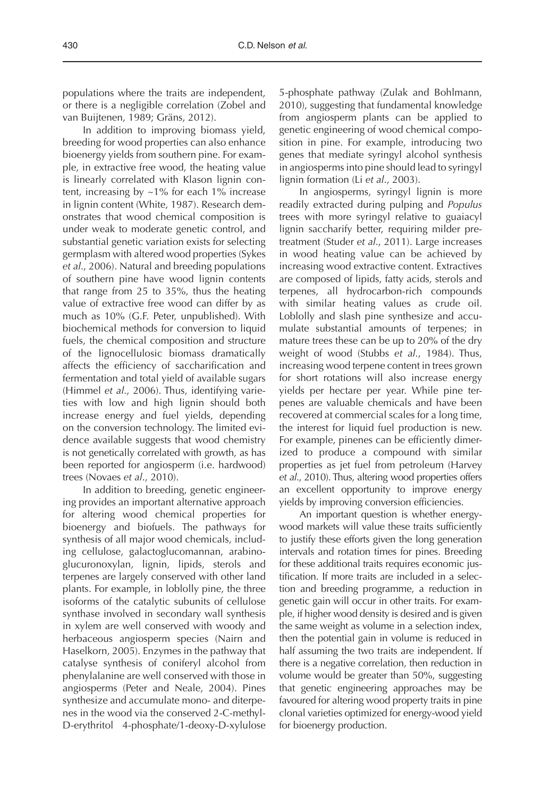populations where the traits are independent, or there is a negligible correlation (Zobel and van Buijtenen, 1989; Gräns, 2012).

In addition to improving biomass yield, breeding for wood properties can also enhance bioenergy yields from southern pine. For example, in extractive free wood, the heating value is linearly correlated with Klason lignin content, increasing by  $~1\%$  for each 1% increase in lignin content (White, 1987). Research demonstrates that wood chemical composition is under weak to moderate genetic control, and substantial genetic variation exists for selecting germplasm with altered wood properties (Sykes *et al*., 2006). Natural and breeding populations of southern pine have wood lignin contents that range from 25 to 35%, thus the heating value of extractive free wood can differ by as much as 10% (G.F. Peter, unpublished). With biochemical methods for conversion to liquid fuels, the chemical composition and structure of the lignocellulosic biomass dramatically affects the efficiency of saccharification and fermentation and total yield of available sugars (Himmel *et al*., 2006). Thus, identifying varieties with low and high lignin should both increase energy and fuel yields, depending on the conversion technology. The limited evidence available suggests that wood chemistry is not genetically correlated with growth, as has been reported for angiosperm (i.e. hardwood) trees (Novaes *et al*., 2010).

In addition to breeding, genetic engineering provides an important alternative approach for altering wood chemical properties for bioenergy and biofuels. The pathways for synthesis of all major wood chemicals, including cellulose, galactoglucomannan, arabinoglucuronoxylan, lignin, lipids, sterols and terpenes are largely conserved with other land plants. For example, in loblolly pine, the three isoforms of the catalytic subunits of cellulose synthase involved in secondary wall synthesis in xylem are well conserved with woody and herbaceous angiosperm species (Nairn and Haselkorn, 2005). Enzymes in the pathway that catalyse synthesis of coniferyl alcohol from phenylalanine are well conserved with those in angiosperms (Peter and Neale, 2004). Pines synthesize and accumulate mono- and diterpenes in the wood via the conserved 2-C-methyl-D-erythritol 4-phosphate/1-deoxy-D-xylulose

5-phosphate pathway (Zulak and Bohlmann, 2010), suggesting that fundamental knowledge from angiosperm plants can be applied to genetic engineering of wood chemical composition in pine. For example, introducing two genes that mediate syringyl alcohol synthesis in angiosperms into pine should lead to syringyl lignin formation (Li *et al*., 2003).

In angiosperms, syringyl lignin is more readily extracted during pulping and *Populus* trees with more syringyl relative to guaiacyl lignin saccharify better, requiring milder pretreatment (Studer *et al*., 2011). Large increases in wood heating value can be achieved by increasing wood extractive content. Extractives are composed of lipids, fatty acids, sterols and terpenes, all hydrocarbon-rich compounds with similar heating values as crude oil. Loblolly and slash pine synthesize and accumulate substantial amounts of terpenes; in mature trees these can be up to 20% of the dry weight of wood (Stubbs *et al*., 1984). Thus, increasing wood terpene content in trees grown for short rotations will also increase energy yields per hectare per year. While pine terpenes are valuable chemicals and have been recovered at commercial scales for a long time, the interest for liquid fuel production is new. For example, pinenes can be efficiently dimerized to produce a compound with similar properties as jet fuel from petroleum (Harvey *et al*., 2010). Thus, altering wood properties offers an excellent opportunity to improve energy yields by improving conversion efficiencies.

An important question is whether energywood markets will value these traits sufficiently to justify these efforts given the long generation intervals and rotation times for pines. Breeding for these additional traits requires economic justification. If more traits are included in a selection and breeding programme, a reduction in genetic gain will occur in other traits. For example, if higher wood density is desired and is given the same weight as volume in a selection index, then the potential gain in volume is reduced in half assuming the two traits are independent. If there is a negative correlation, then reduction in volume would be greater than 50%, suggesting that genetic engineering approaches may be favoured for altering wood property traits in pine clonal varieties optimized for energy-wood yield for bioenergy production.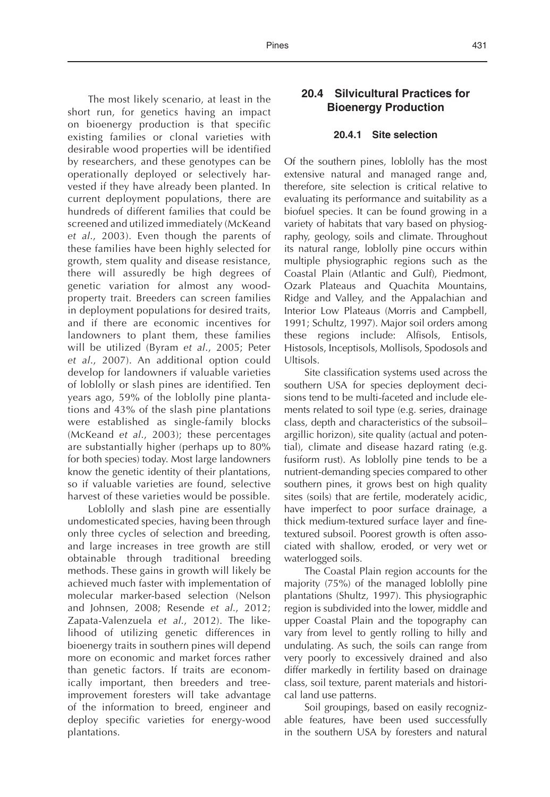The most likely scenario, at least in the short run, for genetics having an impact on bioenergy production is that specific existing families or clonal varieties with desirable wood properties will be identified by researchers, and these genotypes can be operationally deployed or selectively harvested if they have already been planted. In current deployment populations, there are hundreds of different families that could be screened and utilized immediately (McKeand *et al*., 2003). Even though the parents of these families have been highly selected for growth, stem quality and disease resistance, there will assuredly be high degrees of genetic variation for almost any woodproperty trait. Breeders can screen families in deployment populations for desired traits, and if there are economic incentives for landowners to plant them, these families will be utilized (Byram *et al*., 2005; Peter *et al*., 2007). An additional option could develop for landowners if valuable varieties of loblolly or slash pines are identified. Ten years ago, 59% of the loblolly pine plantations and 43% of the slash pine plantations were established as single-family blocks (McKeand *et al*., 2003); these percentages are substantially higher (perhaps up to 80% for both species) today. Most large landowners know the genetic identity of their plantations, so if valuable varieties are found, selective harvest of these varieties would be possible.

Loblolly and slash pine are essentially undomesticated species, having been through only three cycles of selection and breeding, and large increases in tree growth are still obtainable through traditional breeding methods. These gains in growth will likely be achieved much faster with implementation of molecular marker-based selection (Nelson and Johnsen, 2008; Resende *et al*., 2012; Zapata-Valenzuela *et al*., 2012). The likelihood of utilizing genetic differences in bioenergy traits in southern pines will depend more on economic and market forces rather than genetic factors. If traits are economically important, then breeders and treeimprovement foresters will take advantage of the information to breed, engineer and deploy specific varieties for energy-wood plantations.

## **20.4 Silvicultural Practices for Bioenergy Production**

#### **20.4.1 Site selection**

Of the southern pines, loblolly has the most extensive natural and managed range and, therefore, site selection is critical relative to evaluating its performance and suitability as a biofuel species. It can be found growing in a variety of habitats that vary based on physiography, geology, soils and climate. Throughout its natural range, loblolly pine occurs within multiple physiographic regions such as the Coastal Plain (Atlantic and Gulf), Piedmont, Ozark Plateaus and Quachita Mountains, Ridge and Valley, and the Appalachian and Interior Low Plateaus (Morris and Campbell, 1991; Schultz, 1997). Major soil orders among these regions include: Alfisols, Entisols, Histosols, Inceptisols, Mollisols, Spodosols and Ultisols.

Site classification systems used across the southern USA for species deployment decisions tend to be multi-faceted and include elements related to soil type (e.g. series, drainage class, depth and characteristics of the subsoil– argillic horizon), site quality (actual and potential), climate and disease hazard rating (e.g. fusiform rust). As loblolly pine tends to be a nutrient-demanding species compared to other southern pines, it grows best on high quality sites (soils) that are fertile, moderately acidic, have imperfect to poor surface drainage, a thick medium-textured surface layer and finetextured subsoil. Poorest growth is often associated with shallow, eroded, or very wet or waterlogged soils.

The Coastal Plain region accounts for the majority (75%) of the managed loblolly pine plantations (Shultz, 1997). This physiographic region is subdivided into the lower, middle and upper Coastal Plain and the topography can vary from level to gently rolling to hilly and undulating. As such, the soils can range from very poorly to excessively drained and also differ markedly in fertility based on drainage class, soil texture, parent materials and historical land use patterns.

Soil groupings, based on easily recognizable features, have been used successfully in the southern USA by foresters and natural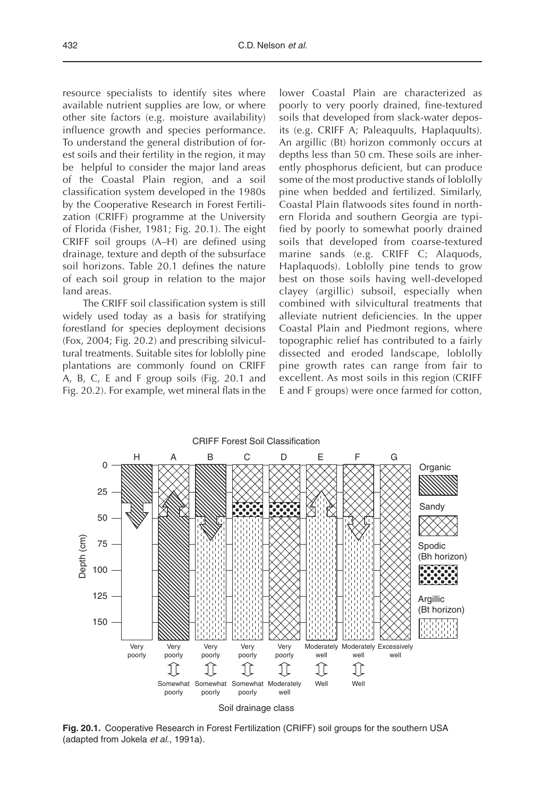resource specialists to identify sites where available nutrient supplies are low, or where other site factors (e.g. moisture availability) influence growth and species performance. To understand the general distribution of forest soils and their fertility in the region, it may be helpful to consider the major land areas of the Coastal Plain region, and a soil classification system developed in the 1980s by the Cooperative Research in Forest Fertilization (CRIFF) programme at the University of Florida (Fisher, 1981; Fig. 20.1). The eight CRIFF soil groups (A–H) are defined using drainage, texture and depth of the subsurface soil horizons. Table 20.1 defines the nature of each soil group in relation to the major land areas.

The CRIFF soil classification system is still widely used today as a basis for stratifying forestland for species deployment decisions (Fox, 2004; Fig. 20.2) and prescribing silvicultural treatments. Suitable sites for loblolly pine plantations are commonly found on CRIFF A, B, C, E and F group soils (Fig. 20.1 and Fig. 20.2). For example, wet mineral flats in the

lower Coastal Plain are characterized as poorly to very poorly drained, fine-textured soils that developed from slack-water deposits (e.g. CRIFF A; Paleaquults, Haplaquults). An argillic (Bt) horizon commonly occurs at depths less than 50 cm. These soils are inherently phosphorus deficient, but can produce some of the most productive stands of loblolly pine when bedded and fertilized. Similarly, Coastal Plain flatwoods sites found in northern Florida and southern Georgia are typified by poorly to somewhat poorly drained soils that developed from coarse-textured marine sands (e.g. CRIFF C; Alaquods, Haplaquods). Loblolly pine tends to grow best on those soils having well-developed clayey (argillic) subsoil, especially when combined with silvicultural treatments that alleviate nutrient deficiencies. In the upper Coastal Plain and Piedmont regions, where topographic relief has contributed to a fairly dissected and eroded landscape, loblolly pine growth rates can range from fair to excellent. As most soils in this region (CRIFF E and F groups) were once farmed for cotton,



**Fig. 20.1.** Cooperative Research in Forest Fertilization (CRIFF) soil groups for the southern USA (adapted from Jokela *et al*., 1991a).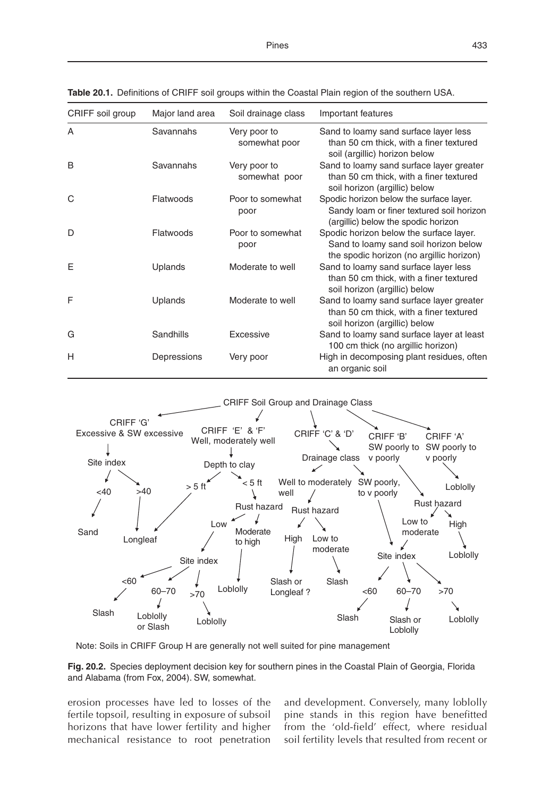| CRIFF soil group | Major land area | Soil drainage class           | Important features                                                                                                           |
|------------------|-----------------|-------------------------------|------------------------------------------------------------------------------------------------------------------------------|
| A                | Savannahs       | Very poor to<br>somewhat poor | Sand to loamy sand surface layer less<br>than 50 cm thick, with a finer textured<br>soil (argillic) horizon below            |
| B                | Savannahs       | Very poor to<br>somewhat poor | Sand to loamy sand surface layer greater<br>than 50 cm thick, with a finer textured<br>soil horizon (argillic) below         |
| C                | Flatwoods       | Poor to somewhat<br>poor      | Spodic horizon below the surface layer.<br>Sandy loam or finer textured soil horizon<br>(argillic) below the spodic horizon  |
| D                | Flatwoods       | Poor to somewhat<br>poor      | Spodic horizon below the surface layer.<br>Sand to loamy sand soil horizon below<br>the spodic horizon (no argillic horizon) |
| E                | Uplands         | Moderate to well              | Sand to loamy sand surface layer less<br>than 50 cm thick, with a finer textured<br>soil horizon (argillic) below            |
| F                | Uplands         | Moderate to well              | Sand to loamy sand surface layer greater<br>than 50 cm thick, with a finer textured<br>soil horizon (argillic) below         |
| G                | Sandhills       | Excessive                     | Sand to loamy sand surface layer at least<br>100 cm thick (no argillic horizon)                                              |
| н                | Depressions     | Very poor                     | High in decomposing plant residues, often<br>an organic soil                                                                 |

| Table 20.1. Definitions of CRIFF soil groups within the Coastal Plain region of the southern USA. |
|---------------------------------------------------------------------------------------------------|
|---------------------------------------------------------------------------------------------------|



Note: Soils in CRIFF Group H are generally not well suited for pine management



erosion processes have led to losses of the fertile topsoil, resulting in exposure of subsoil horizons that have lower fertility and higher mechanical resistance to root penetration

and development. Conversely, many loblolly pine stands in this region have benefitted from the 'old-field' effect, where residual soil fertility levels that resulted from recent or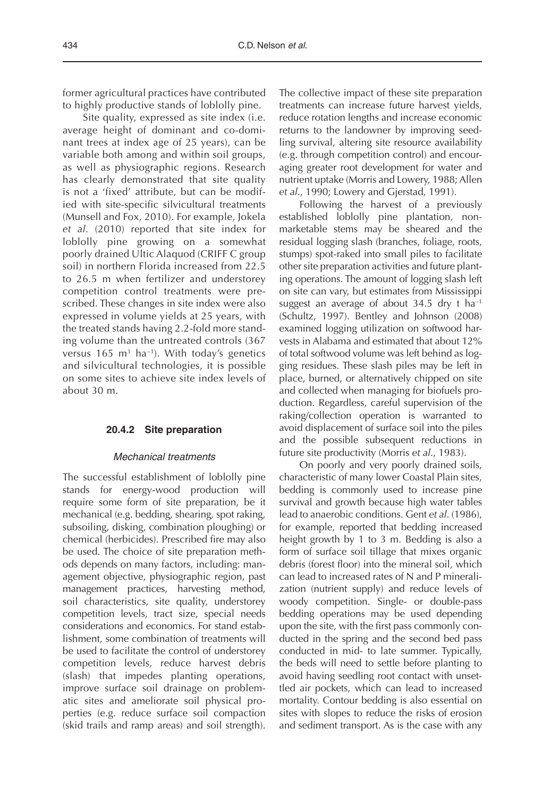former agricultural practices have contributed to highly productive stands of loblolly pine.

Site quality, expressed as site index (i.e. average height of dominant and co-dominant trees at index age of 25 years), can be variable both among and within soil groups, as well as physiographic regions. Research has clearly demonstrated that site quality is not a 'fixed' attribute, but can be modified with site-specific silvicultural treatments (Munsell and Fox, 2010). For example, Jokela *et al*. (2010) reported that site index for loblolly pine growing on a somewhat poorly drained Ultic Alaquod (CRIFF C group soil) in northern Florida increased from 22.5 to 26.5 m when fertilizer and understorey competition control treatments were prescribed. These changes in site index were also expressed in volume yields at 25 years, with the treated stands having 2.2-fold more standing volume than the untreated controls (367 versus 165 m<sup>3</sup> ha<sup>-1</sup>). With today's genetics and silvicultural technologies, it is possible on some sites to achieve site index levels of about 30 m.

#### **20.4.2 Site preparation**

#### *Mechanical treatments*

The successful establishment of loblolly pine stands for energy-wood production will require some form of site preparation, be it mechanical (e.g. bedding, shearing, spot raking, subsoiling, disking, combination ploughing) or chemical (herbicides). Prescribed fire may also be used. The choice of site preparation methods depends on many factors, including: management objective, physiographic region, past management practices, harvesting method, soil characteristics, site quality, understorey competition levels, tract size, special needs considerations and economics. For stand establishment, some combination of treatments will be used to facilitate the control of understorey competition levels, reduce harvest debris (slash) that impedes planting operations, improve surface soil drainage on problematic sites and ameliorate soil physical properties (e.g. reduce surface soil compaction (skid trails and ramp areas) and soil strength).

The collective impact of these site preparation treatments can increase future harvest yields, reduce rotation lengths and increase economic returns to the landowner by improving seedling survival, altering site resource availability (e.g. through competition control) and encouraging greater root development for water and nutrient uptake (Morris and Lowery, 1988; Allen *et al*., 1990; Lowery and Gjerstad, 1991).

Following the harvest of a previously established loblolly pine plantation, nonmarketable stems may be sheared and the residual logging slash (branches, foliage, roots, stumps) spot-raked into small piles to facilitate other site preparation activities and future planting operations. The amount of logging slash left on site can vary, but estimates from Mississippi suggest an average of about 34.5 dry t ha<sup>-1</sup> (Schultz, 1997). Bentley and Johnson (2008) examined logging utilization on softwood harvests in Alabama and estimated that about 12% of total softwood volume was left behind as logging residues. These slash piles may be left in place, burned, or alternatively chipped on site and collected when managing for biofuels production. Regardless, careful supervision of the raking/collection operation is warranted to avoid displacement of surface soil into the piles and the possible subsequent reductions in future site productivity (Morris *et al*., 1983).

On poorly and very poorly drained soils, characteristic of many lower Coastal Plain sites, bedding is commonly used to increase pine survival and growth because high water tables lead to anaerobic conditions. Gent *et al*. (1986), for example, reported that bedding increased height growth by 1 to 3 m. Bedding is also a form of surface soil tillage that mixes organic debris (forest floor) into the mineral soil, which can lead to increased rates of N and P mineralization (nutrient supply) and reduce levels of woody competition. Single- or double-pass bedding operations may be used depending upon the site, with the first pass commonly conducted in the spring and the second bed pass conducted in mid- to late summer. Typically, the beds will need to settle before planting to avoid having seedling root contact with unsettled air pockets, which can lead to increased mortality. Contour bedding is also essential on sites with slopes to reduce the risks of erosion and sediment transport. As is the case with any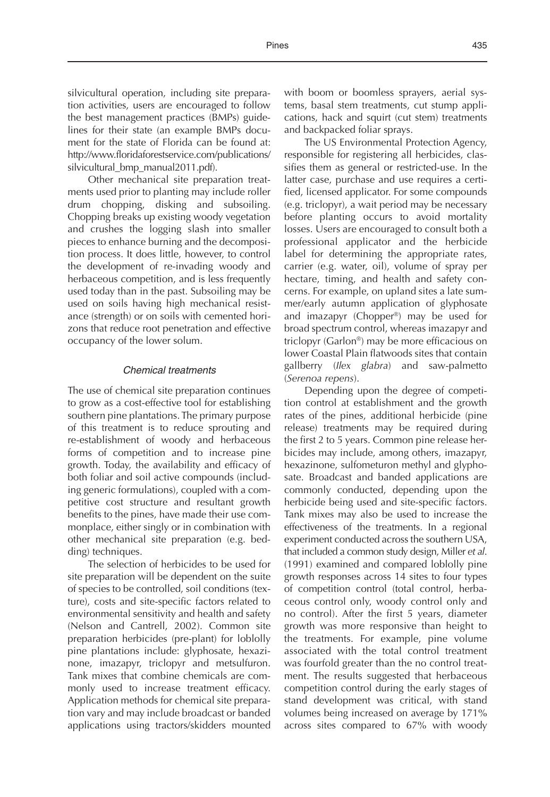silvicultural operation, including site preparation activities, users are encouraged to follow the best management practices (BMPs) guidelines for their state (an example BMPs document for the state of Florida can be found at: [http://www.floridaforestservice.com/publications/](http://www.floridaforestservice.com/publications/silvicultural_bmp_manual2011.pdf) [silvicultural\\_bmp\\_manual2011.pdf\)](http://www.floridaforestservice.com/publications/silvicultural_bmp_manual2011.pdf).

Other mechanical site preparation treatments used prior to planting may include roller drum chopping, disking and subsoiling. Chopping breaks up existing woody vegetation and crushes the logging slash into smaller pieces to enhance burning and the decomposition process. It does little, however, to control the development of re-invading woody and herbaceous competition, and is less frequently used today than in the past. Subsoiling may be used on soils having high mechanical resistance (strength) or on soils with cemented horizons that reduce root penetration and effective occupancy of the lower solum.

#### *Chemical treatments*

The use of chemical site preparation continues to grow as a cost-effective tool for establishing southern pine plantations. The primary purpose of this treatment is to reduce sprouting and re-establishment of woody and herbaceous forms of competition and to increase pine growth. Today, the availability and efficacy of both foliar and soil active compounds (including generic formulations), coupled with a competitive cost structure and resultant growth benefits to the pines, have made their use commonplace, either singly or in combination with other mechanical site preparation (e.g. bedding) techniques.

The selection of herbicides to be used for site preparation will be dependent on the suite of species to be controlled, soil conditions (texture), costs and site-specific factors related to environmental sensitivity and health and safety (Nelson and Cantrell, 2002). Common site preparation herbicides (pre-plant) for loblolly pine plantations include: glyphosate, hexazinone, imazapyr, triclopyr and metsulfuron. Tank mixes that combine chemicals are commonly used to increase treatment efficacy. Application methods for chemical site preparation vary and may include broadcast or banded applications using tractors/skidders mounted with boom or boomless sprayers, aerial systems, basal stem treatments, cut stump applications, hack and squirt (cut stem) treatments and backpacked foliar sprays.

The US Environmental Protection Agency, responsible for registering all herbicides, classifies them as general or restricted-use. In the latter case, purchase and use requires a certified, licensed applicator. For some compounds (e.g. triclopyr), a wait period may be necessary before planting occurs to avoid mortality losses. Users are encouraged to consult both a professional applicator and the herbicide label for determining the appropriate rates, carrier (e.g. water, oil), volume of spray per hectare, timing, and health and safety concerns. For example, on upland sites a late summer/early autumn application of glyphosate and imazapyr (Chopper®) may be used for broad spectrum control, whereas imazapyr and triclopyr (Garlon®) may be more efficacious on lower Coastal Plain flatwoods sites that contain gallberry (*Ilex glabra*) and saw-palmetto (*Serenoa repens*).

Depending upon the degree of competition control at establishment and the growth rates of the pines, additional herbicide (pine release) treatments may be required during the first 2 to 5 years. Common pine release herbicides may include, among others, imazapyr, hexazinone, sulfometuron methyl and glyphosate. Broadcast and banded applications are commonly conducted, depending upon the herbicide being used and site-specific factors. Tank mixes may also be used to increase the effectiveness of the treatments. In a regional experiment conducted across the southern USA, that included a common study design, Miller *et al*. (1991) examined and compared loblolly pine growth responses across 14 sites to four types of competition control (total control, herbaceous control only, woody control only and no control). After the first 5 years, diameter growth was more responsive than height to the treatments. For example, pine volume associated with the total control treatment was fourfold greater than the no control treatment. The results suggested that herbaceous competition control during the early stages of stand development was critical, with stand volumes being increased on average by 171% across sites compared to 67% with woody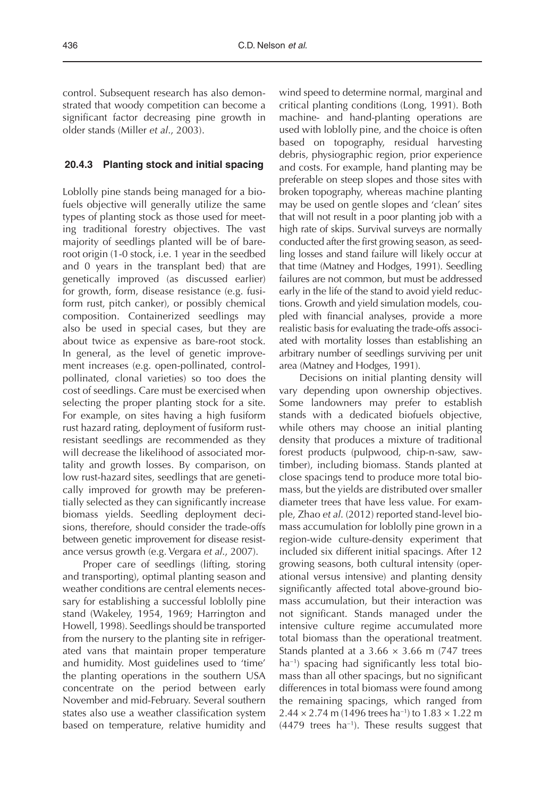control. Subsequent research has also demonstrated that woody competition can become a significant factor decreasing pine growth in older stands (Miller *et al*., 2003).

#### **20.4.3 Planting stock and initial spacing**

Loblolly pine stands being managed for a biofuels objective will generally utilize the same types of planting stock as those used for meeting traditional forestry objectives. The vast majority of seedlings planted will be of bareroot origin (1-0 stock, i.e. 1 year in the seedbed and 0 years in the transplant bed) that are genetically improved (as discussed earlier) for growth, form, disease resistance (e.g. fusiform rust, pitch canker), or possibly chemical composition. Containerized seedlings may also be used in special cases, but they are about twice as expensive as bare-root stock. In general, as the level of genetic improvement increases (e.g. open-pollinated, controlpollinated, clonal varieties) so too does the cost of seedlings. Care must be exercised when selecting the proper planting stock for a site. For example, on sites having a high fusiform rust hazard rating, deployment of fusiform rustresistant seedlings are recommended as they will decrease the likelihood of associated mortality and growth losses. By comparison, on low rust-hazard sites, seedlings that are genetically improved for growth may be preferentially selected as they can significantly increase biomass yields. Seedling deployment decisions, therefore, should consider the trade-offs between genetic improvement for disease resistance versus growth (e.g. Vergara *et al*., 2007).

Proper care of seedlings (lifting, storing and transporting), optimal planting season and weather conditions are central elements necessary for establishing a successful loblolly pine stand (Wakeley, 1954, 1969; Harrington and Howell, 1998). Seedlings should be transported from the nursery to the planting site in refrigerated vans that maintain proper temperature and humidity. Most guidelines used to 'time' the planting operations in the southern USA concentrate on the period between early November and mid-February. Several southern states also use a weather classification system based on temperature, relative humidity and wind speed to determine normal, marginal and critical planting conditions (Long, 1991). Both machine- and hand-planting operations are used with loblolly pine, and the choice is often based on topography, residual harvesting debris, physiographic region, prior experience and costs. For example, hand planting may be preferable on steep slopes and those sites with broken topography, whereas machine planting may be used on gentle slopes and 'clean' sites that will not result in a poor planting job with a high rate of skips. Survival surveys are normally conducted after the first growing season, as seedling losses and stand failure will likely occur at that time (Matney and Hodges, 1991). Seedling failures are not common, but must be addressed early in the life of the stand to avoid yield reductions. Growth and yield simulation models, coupled with financial analyses, provide a more realistic basis for evaluating the trade-offs associated with mortality losses than establishing an arbitrary number of seedlings surviving per unit area (Matney and Hodges, 1991).

Decisions on initial planting density will vary depending upon ownership objectives. Some landowners may prefer to establish stands with a dedicated biofuels objective, while others may choose an initial planting density that produces a mixture of traditional forest products (pulpwood, chip-n-saw, sawtimber), including biomass. Stands planted at close spacings tend to produce more total biomass, but the yields are distributed over smaller diameter trees that have less value. For example, Zhao *et al*. (2012) reported stand-level biomass accumulation for loblolly pine grown in a region-wide culture-density experiment that included six different initial spacings. After 12 growing seasons, both cultural intensity (operational versus intensive) and planting density significantly affected total above-ground biomass accumulation, but their interaction was not significant. Stands managed under the intensive culture regime accumulated more total biomass than the operational treatment. Stands planted at a 3.66  $\times$  3.66 m (747 trees ha<sup>-1</sup>) spacing had significantly less total biomass than all other spacings, but no significant differences in total biomass were found among the remaining spacings, which ranged from 2.44 × 2.74 m (1496 trees ha<sup>-1</sup>) to 1.83 × 1.22 m (4479 trees ha−1). These results suggest that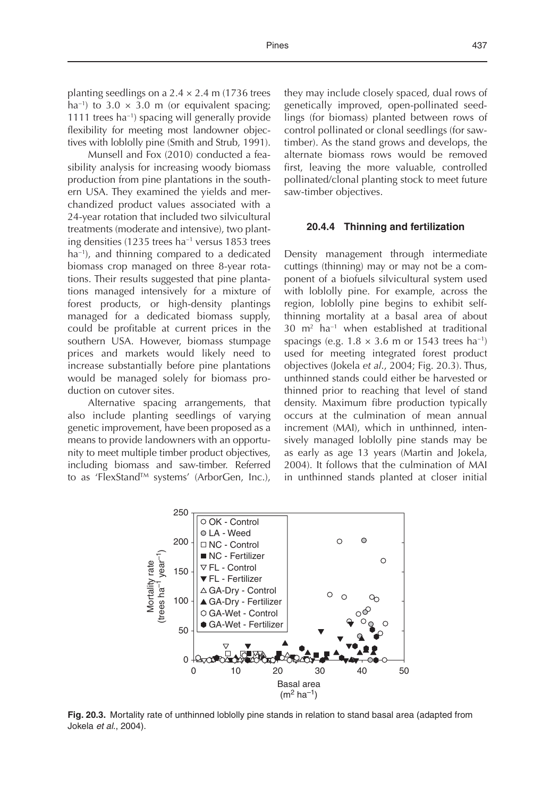planting seedlings on a  $2.4 \times 2.4$  m (1736 trees ha<sup>-1</sup>) to 3.0 × 3.0 m (or equivalent spacing; 1111 trees ha−1) spacing will generally provide flexibility for meeting most landowner objectives with loblolly pine (Smith and Strub, 1991).

Munsell and Fox (2010) conducted a feasibility analysis for increasing woody biomass production from pine plantations in the southern USA. They examined the yields and merchandized product values associated with a 24-year rotation that included two silvicultural treatments (moderate and intensive), two planting densities (1235 trees ha−1 versus 1853 trees ha<sup>-1</sup>), and thinning compared to a dedicated biomass crop managed on three 8-year rotations. Their results suggested that pine plantations managed intensively for a mixture of forest products, or high-density plantings managed for a dedicated biomass supply, could be profitable at current prices in the southern USA. However, biomass stumpage prices and markets would likely need to increase substantially before pine plantations would be managed solely for biomass production on cutover sites.

Alternative spacing arrangements, that also include planting seedlings of varying genetic improvement, have been proposed as a means to provide landowners with an opportunity to meet multiple timber product objectives, including biomass and saw-timber. Referred to as 'FlexStand™ systems' (ArborGen, Inc.),

they may include closely spaced, dual rows of genetically improved, open-pollinated seedlings (for biomass) planted between rows of control pollinated or clonal seedlings (for sawtimber). As the stand grows and develops, the alternate biomass rows would be removed first, leaving the more valuable, controlled pollinated/clonal planting stock to meet future saw-timber objectives.

#### **20.4.4 Thinning and fertilization**

Density management through intermediate cuttings (thinning) may or may not be a component of a biofuels silvicultural system used with loblolly pine. For example, across the region, loblolly pine begins to exhibit selfthinning mortality at a basal area of about 30 m2 ha−1 when established at traditional spacings (e.g.  $1.8 \times 3.6$  m or 1543 trees ha<sup>-1</sup>) used for meeting integrated forest product objectives (Jokela *et al*., 2004; Fig. 20.3). Thus, unthinned stands could either be harvested or thinned prior to reaching that level of stand density. Maximum fibre production typically occurs at the culmination of mean annual increment (MAI), which in unthinned, intensively managed loblolly pine stands may be as early as age 13 years (Martin and Jokela, 2004). It follows that the culmination of MAI in unthinned stands planted at closer initial



**Fig. 20.3.** Mortality rate of unthinned loblolly pine stands in relation to stand basal area (adapted from Jokela *et al*., 2004).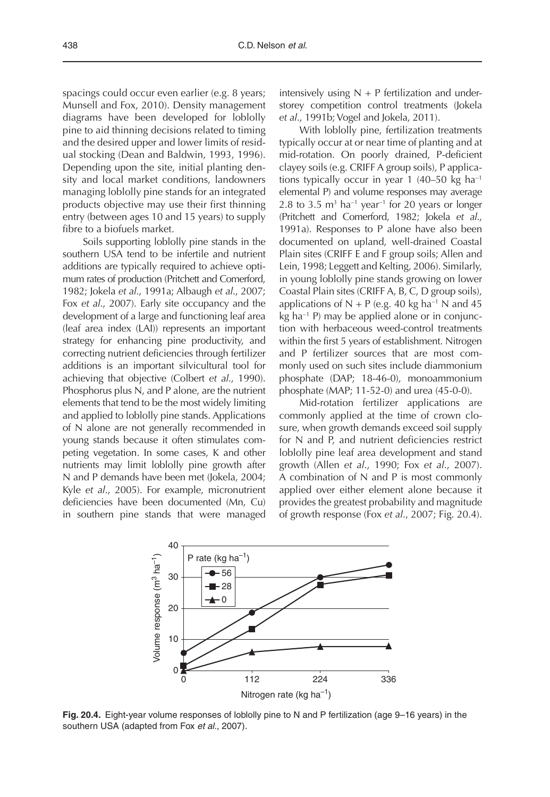spacings could occur even earlier (e.g. 8 years; Munsell and Fox, 2010). Density management diagrams have been developed for loblolly pine to aid thinning decisions related to timing and the desired upper and lower limits of residual stocking (Dean and Baldwin, 1993, 1996). Depending upon the site, initial planting density and local market conditions, landowners managing loblolly pine stands for an integrated products objective may use their first thinning entry (between ages 10 and 15 years) to supply fibre to a biofuels market.

Soils supporting loblolly pine stands in the southern USA tend to be infertile and nutrient additions are typically required to achieve optimum rates of production (Pritchett and Comerford, 1982; Jokela *et al*., 1991a; Albaugh *et al*., 2007; Fox *et al*., 2007). Early site occupancy and the development of a large and functioning leaf area (leaf area index (LAI)) represents an important strategy for enhancing pine productivity, and correcting nutrient deficiencies through fertilizer additions is an important silvicultural tool for achieving that objective (Colbert *et al*., 1990). Phosphorus plus N, and P alone, are the nutrient elements that tend to be the most widely limiting and applied to loblolly pine stands. Applications of N alone are not generally recommended in young stands because it often stimulates competing vegetation. In some cases, K and other nutrients may limit loblolly pine growth after N and P demands have been met (Jokela, 2004; Kyle *et al*., 2005). For example, micronutrient deficiencies have been documented (Mn, Cu) in southern pine stands that were managed

intensively using  $N + P$  fertilization and understorey competition control treatments (Jokela *et al*., 1991b; Vogel and Jokela, 2011).

With loblolly pine, fertilization treatments typically occur at or near time of planting and at mid-rotation. On poorly drained, P-deficient clayey soils (e.g. CRIFF A group soils), P applications typically occur in year 1 (40–50 kg ha<sup>-1</sup> elemental P) and volume responses may average 2.8 to 3.5  $m<sup>3</sup>$  ha<sup>-1</sup> year<sup>-1</sup> for 20 years or longer (Pritchett and Comerford, 1982; Jokela *et al*., 1991a). Responses to P alone have also been documented on upland, well-drained Coastal Plain sites (CRIFF E and F group soils; Allen and Lein, 1998; Leggett and Kelting, 2006). Similarly, in young loblolly pine stands growing on lower Coastal Plain sites (CRIFF A, B, C, D group soils), applications of N + P (e.g. 40 kg ha<sup>-1</sup> N and 45 kg ha−1 P) may be applied alone or in conjunction with herbaceous weed-control treatments within the first 5 years of establishment. Nitrogen and P fertilizer sources that are most commonly used on such sites include diammonium phosphate (DAP; 18-46-0), monoammonium phosphate (MAP; 11-52-0) and urea (45-0-0).

Mid-rotation fertilizer applications are commonly applied at the time of crown closure, when growth demands exceed soil supply for N and P, and nutrient deficiencies restrict loblolly pine leaf area development and stand growth (Allen *et al*., 1990; Fox *et al*., 2007). A combination of N and P is most commonly applied over either element alone because it provides the greatest probability and magnitude of growth response (Fox *et al*., 2007; Fig. 20.4).



**Fig. 20.4.** Eight-year volume responses of loblolly pine to N and P fertilization (age 9–16 years) in the southern USA (adapted from Fox *et al*., 2007).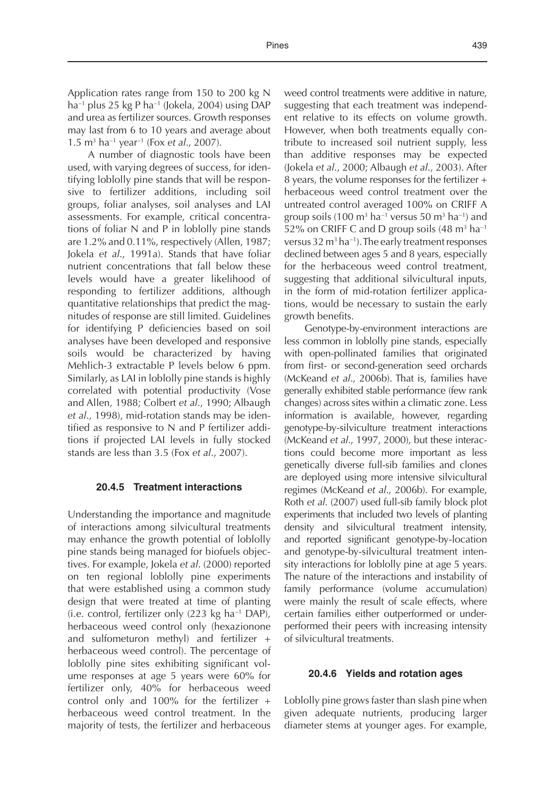Application rates range from 150 to 200 kg N ha−1 plus 25 kg P ha−1 (Jokela, 2004) using DAP and urea as fertilizer sources. Growth responses may last from 6 to 10 years and average about 1.5 m3 ha−1 year−1 (Fox *et al*., 2007).

A number of diagnostic tools have been used, with varying degrees of success, for identifying loblolly pine stands that will be responsive to fertilizer additions, including soil groups, foliar analyses, soil analyses and LAI assessments. For example, critical concentrations of foliar N and P in loblolly pine stands are 1.2% and 0.11%, respectively (Allen, 1987; Jokela *et al*., 1991a). Stands that have foliar nutrient concentrations that fall below these levels would have a greater likelihood of responding to fertilizer additions, although quantitative relationships that predict the magnitudes of response are still limited. Guidelines for identifying P deficiencies based on soil analyses have been developed and responsive soils would be characterized by having Mehlich-3 extractable P levels below 6 ppm. Similarly, as LAI in loblolly pine stands is highly correlated with potential productivity (Vose and Allen, 1988; Colbert *et al*., 1990; Albaugh *et al*., 1998), mid-rotation stands may be identified as responsive to N and P fertilizer additions if projected LAI levels in fully stocked stands are less than 3.5 (Fox *et al*., 2007).

#### **20.4.5 Treatment interactions**

Understanding the importance and magnitude of interactions among silvicultural treatments may enhance the growth potential of loblolly pine stands being managed for biofuels objectives. For example, Jokela *et al*. (2000) reported on ten regional loblolly pine experiments that were established using a common study design that were treated at time of planting (i.e. control, fertilizer only (223 kg ha−1 DAP), herbaceous weed control only (hexazionone and sulfometuron methyl) and fertilizer + herbaceous weed control). The percentage of loblolly pine sites exhibiting significant volume responses at age 5 years were 60% for fertilizer only, 40% for herbaceous weed control only and 100% for the fertilizer + herbaceous weed control treatment. In the majority of tests, the fertilizer and herbaceous

weed control treatments were additive in nature, suggesting that each treatment was independent relative to its effects on volume growth. However, when both treatments equally contribute to increased soil nutrient supply, less than additive responses may be expected (Jokela *et al*., 2000; Albaugh *et al*., 2003). After 8 years, the volume responses for the fertilizer + herbaceous weed control treatment over the untreated control averaged 100% on CRIFF A group soils (100 m<sup>3</sup> ha<sup>-1</sup> versus 50 m<sup>3</sup> ha<sup>-1</sup>) and 52% on CRIFF C and D group soils  $(48 \text{ m}^3 \text{ ha}^{-1})$ versus 32 m<sup>3</sup> ha<sup>−1</sup>). The early treatment responses declined between ages 5 and 8 years, especially for the herbaceous weed control treatment, suggesting that additional silvicultural inputs, in the form of mid-rotation fertilizer applications, would be necessary to sustain the early growth benefits.

Genotype-by-environment interactions are less common in loblolly pine stands, especially with open-pollinated families that originated from first- or second-generation seed orchards (McKeand *et al*., 2006b). That is, families have generally exhibited stable performance (few rank changes) across sites within a climatic zone. Less information is available, however, regarding genotype-by-silviculture treatment interactions (McKeand *et al*., 1997, 2000), but these interactions could become more important as less genetically diverse full-sib families and clones are deployed using more intensive silvicultural regimes (McKeand *et al*., 2006b). For example, Roth *et al*. (2007) used full-sib family block plot experiments that included two levels of planting density and silvicultural treatment intensity, and reported significant genotype-by-location and genotype-by-silvicultural treatment intensity interactions for loblolly pine at age 5 years. The nature of the interactions and instability of family performance (volume accumulation) were mainly the result of scale effects, where certain families either outperformed or underperformed their peers with increasing intensity of silvicultural treatments.

#### **20.4.6 Yields and rotation ages**

Loblolly pine grows faster than slash pine when given adequate nutrients, producing larger diameter stems at younger ages. For example,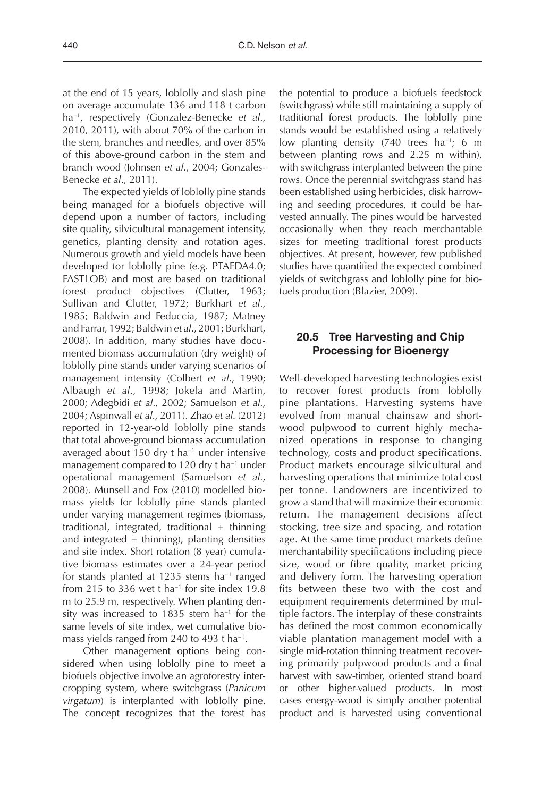at the end of 15 years, loblolly and slash pine on average accumulate 136 and 118 t carbon ha−1, respectively (Gonzalez-Benecke *et al*., 2010, 2011), with about 70% of the carbon in the stem, branches and needles, and over 85% of this above-ground carbon in the stem and branch wood (Johnsen *et al*., 2004; Gonzales-Benecke *et al*., 2011).

The expected yields of loblolly pine stands being managed for a biofuels objective will depend upon a number of factors, including site quality, silvicultural management intensity, genetics, planting density and rotation ages. Numerous growth and yield models have been developed for loblolly pine (e.g. PTAEDA4.0; FASTLOB) and most are based on traditional forest product objectives (Clutter, 1963; Sullivan and Clutter, 1972; Burkhart *et al*., 1985; Baldwin and Feduccia, 1987; Matney and Farrar, 1992; Baldwin *et al*., 2001; Burkhart, 2008). In addition, many studies have documented biomass accumulation (dry weight) of loblolly pine stands under varying scenarios of management intensity (Colbert *et al*., 1990; Albaugh *et al*., 1998; Jokela and Martin, 2000; Adegbidi *et al*., 2002; Samuelson *et al*., 2004; Aspinwall *et al*., 2011). Zhao *et al*. (2012) reported in 12-year-old loblolly pine stands that total above-ground biomass accumulation averaged about 150 dry t ha−1 under intensive management compared to 120 dry t ha<sup>-1</sup> under operational management (Samuelson *et al*., 2008). Munsell and Fox (2010) modelled biomass yields for loblolly pine stands planted under varying management regimes (biomass, traditional, integrated, traditional  $+$  thinning and integrated  $+$  thinning), planting densities and site index. Short rotation (8 year) cumulative biomass estimates over a 24-year period for stands planted at 1235 stems ha−1 ranged from 215 to 336 wet t ha<sup>-1</sup> for site index 19.8 m to 25.9 m, respectively. When planting density was increased to 1835 stem ha<sup>-1</sup> for the same levels of site index, wet cumulative biomass yields ranged from 240 to 493 t ha<sup>-1</sup>.

Other management options being considered when using loblolly pine to meet a biofuels objective involve an agroforestry intercropping system, where switchgrass (*Panicum virgatum*) is interplanted with loblolly pine. The concept recognizes that the forest has the potential to produce a biofuels feedstock (switchgrass) while still maintaining a supply of traditional forest products. The loblolly pine stands would be established using a relatively low planting density (740 trees ha−1; 6 m between planting rows and 2.25 m within), with switchgrass interplanted between the pine rows. Once the perennial switchgrass stand has been established using herbicides, disk harrowing and seeding procedures, it could be harvested annually. The pines would be harvested occasionally when they reach merchantable sizes for meeting traditional forest products objectives. At present, however, few published studies have quantified the expected combined yields of switchgrass and loblolly pine for biofuels production (Blazier, 2009).

### **20.5 Tree Harvesting and Chip Processing for Bioenergy**

Well-developed harvesting technologies exist to recover forest products from loblolly pine plantations. Harvesting systems have evolved from manual chainsaw and shortwood pulpwood to current highly mechanized operations in response to changing technology, costs and product specifications. Product markets encourage silvicultural and harvesting operations that minimize total cost per tonne. Landowners are incentivized to grow a stand that will maximize their economic return. The management decisions affect stocking, tree size and spacing, and rotation age. At the same time product markets define merchantability specifications including piece size, wood or fibre quality, market pricing and delivery form. The harvesting operation fits between these two with the cost and equipment requirements determined by multiple factors. The interplay of these constraints has defined the most common economically viable plantation management model with a single mid-rotation thinning treatment recovering primarily pulpwood products and a final harvest with saw-timber, oriented strand board or other higher-valued products. In most cases energy-wood is simply another potential product and is harvested using conventional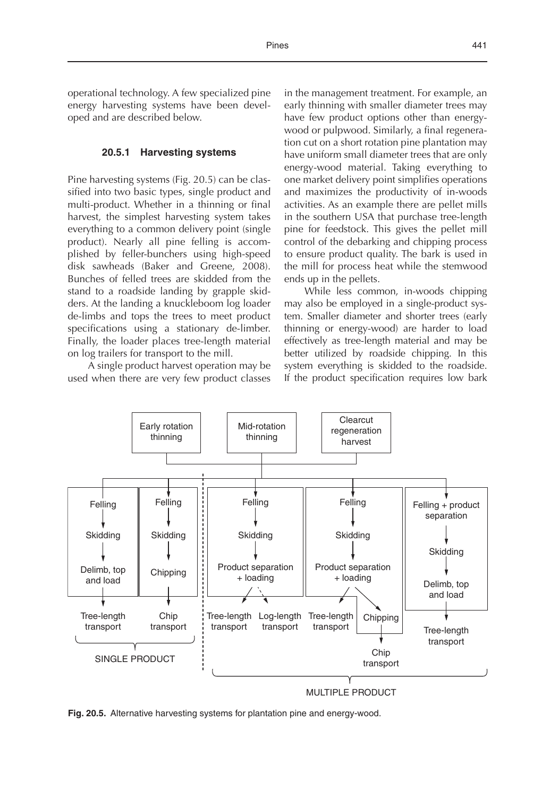operational technology. A few specialized pine energy harvesting systems have been developed and are described below.

#### **20.5.1 Harvesting systems**

Pine harvesting systems (Fig. 20.5) can be classified into two basic types, single product and multi-product. Whether in a thinning or final harvest, the simplest harvesting system takes everything to a common delivery point (single product). Nearly all pine felling is accomplished by feller-bunchers using high-speed disk sawheads (Baker and Greene, 2008). Bunches of felled trees are skidded from the stand to a roadside landing by grapple skidders. At the landing a knuckleboom log loader de-limbs and tops the trees to meet product specifications using a stationary de-limber. Finally, the loader places tree-length material on log trailers for transport to the mill.

A single product harvest operation may be used when there are very few product classes in the management treatment. For example, an early thinning with smaller diameter trees may have few product options other than energywood or pulpwood. Similarly, a final regeneration cut on a short rotation pine plantation may have uniform small diameter trees that are only energy-wood material. Taking everything to one market delivery point simplifies operations and maximizes the productivity of in-woods activities. As an example there are pellet mills in the southern USA that purchase tree-length pine for feedstock. This gives the pellet mill control of the debarking and chipping process to ensure product quality. The bark is used in the mill for process heat while the stemwood ends up in the pellets.

While less common, in-woods chipping may also be employed in a single-product system. Smaller diameter and shorter trees (early thinning or energy-wood) are harder to load effectively as tree-length material and may be better utilized by roadside chipping. In this system everything is skidded to the roadside. If the product specification requires low bark



**Fig. 20.5.** Alternative harvesting systems for plantation pine and energy-wood.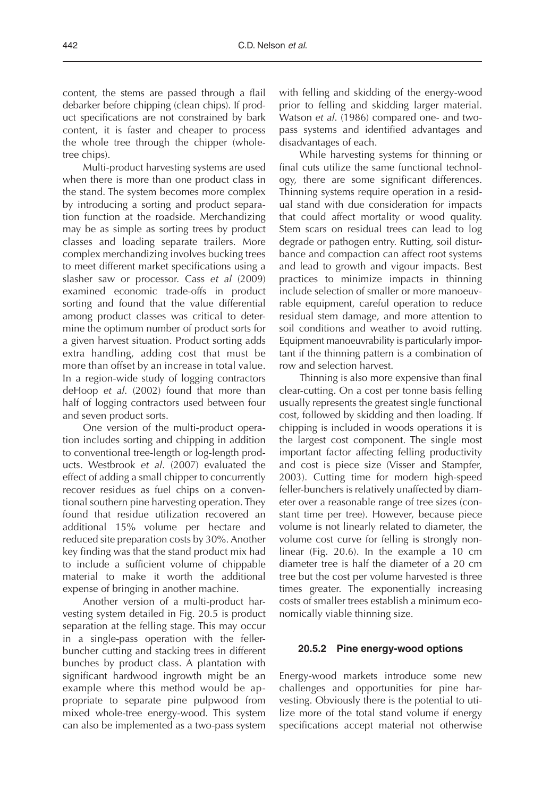content, the stems are passed through a flail debarker before chipping (clean chips). If product specifications are not constrained by bark content, it is faster and cheaper to process the whole tree through the chipper (wholetree chips).

Multi-product harvesting systems are used when there is more than one product class in the stand. The system becomes more complex by introducing a sorting and product separation function at the roadside. Merchandizing may be as simple as sorting trees by product classes and loading separate trailers. More complex merchandizing involves bucking trees to meet different market specifications using a slasher saw or processor. Cass *et al* (2009) examined economic trade-offs in product sorting and found that the value differential among product classes was critical to determine the optimum number of product sorts for a given harvest situation. Product sorting adds extra handling, adding cost that must be more than offset by an increase in total value. In a region-wide study of logging contractors deHoop *et al*. (2002) found that more than half of logging contractors used between four and seven product sorts.

One version of the multi-product operation includes sorting and chipping in addition to conventional tree-length or log-length products. Westbrook *et al*. (2007) evaluated the effect of adding a small chipper to concurrently recover residues as fuel chips on a conventional southern pine harvesting operation. They found that residue utilization recovered an additional 15% volume per hectare and reduced site preparation costs by 30%. Another key finding was that the stand product mix had to include a sufficient volume of chippable material to make it worth the additional expense of bringing in another machine.

Another version of a multi-product harvesting system detailed in Fig. 20.5 is product separation at the felling stage. This may occur in a single-pass operation with the fellerbuncher cutting and stacking trees in different bunches by product class. A plantation with significant hardwood ingrowth might be an example where this method would be appropriate to separate pine pulpwood from mixed whole-tree energy-wood. This system can also be implemented as a two-pass system with felling and skidding of the energy-wood prior to felling and skidding larger material. Watson *et al*. (1986) compared one- and twopass systems and identified advantages and disadvantages of each.

While harvesting systems for thinning or final cuts utilize the same functional technology, there are some significant differences. Thinning systems require operation in a residual stand with due consideration for impacts that could affect mortality or wood quality. Stem scars on residual trees can lead to log degrade or pathogen entry. Rutting, soil disturbance and compaction can affect root systems and lead to growth and vigour impacts. Best practices to minimize impacts in thinning include selection of smaller or more manoeuvrable equipment, careful operation to reduce residual stem damage, and more attention to soil conditions and weather to avoid rutting. Equipment manoeuvrability is particularly important if the thinning pattern is a combination of row and selection harvest.

Thinning is also more expensive than final clear-cutting. On a cost per tonne basis felling usually represents the greatest single functional cost, followed by skidding and then loading. If chipping is included in woods operations it is the largest cost component. The single most important factor affecting felling productivity and cost is piece size (Visser and Stampfer, 2003). Cutting time for modern high-speed feller-bunchers is relatively unaffected by diameter over a reasonable range of tree sizes (constant time per tree). However, because piece volume is not linearly related to diameter, the volume cost curve for felling is strongly nonlinear (Fig. 20.6). In the example a 10 cm diameter tree is half the diameter of a 20 cm tree but the cost per volume harvested is three times greater. The exponentially increasing costs of smaller trees establish a minimum economically viable thinning size.

#### **20.5.2 Pine energy-wood options**

Energy-wood markets introduce some new challenges and opportunities for pine harvesting. Obviously there is the potential to utilize more of the total stand volume if energy specifications accept material not otherwise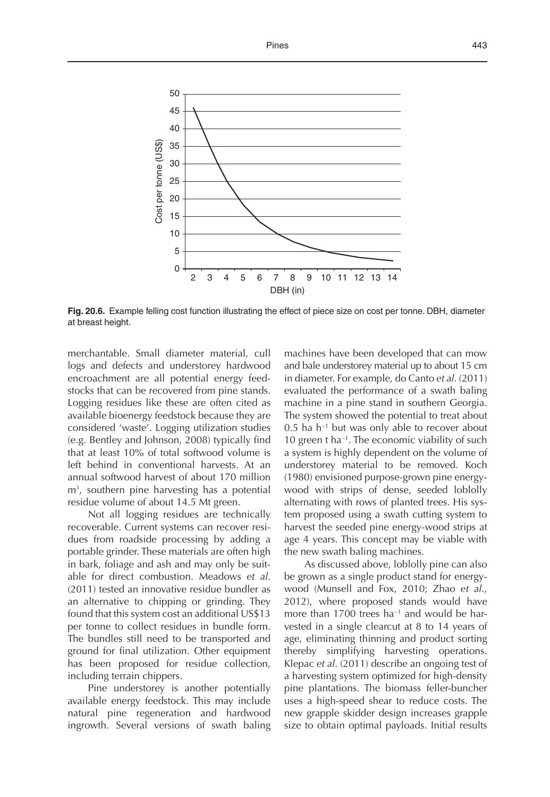

**Fig. 20.6.** Example felling cost function illustrating the effect of piece size on cost per tonne. DBH, diameter at breast height.

merchantable. Small diameter material, cull logs and defects and understorey hardwood encroachment are all potential energy feedstocks that can be recovered from pine stands. Logging residues like these are often cited as available bioenergy feedstock because they are considered 'waste'. Logging utilization studies (e.g. Bentley and Johnson, 2008) typically find that at least 10% of total softwood volume is left behind in conventional harvests. At an annual softwood harvest of about 170 million m3 , southern pine harvesting has a potential residue volume of about 14.5 Mt green.

Not all logging residues are technically recoverable. Current systems can recover residues from roadside processing by adding a portable grinder. These materials are often high in bark, foliage and ash and may only be suitable for direct combustion. Meadows *et al*. (2011) tested an innovative residue bundler as an alternative to chipping or grinding. They found that this system cost an additional US\$13 per tonne to collect residues in bundle form. The bundles still need to be transported and ground for final utilization. Other equipment has been proposed for residue collection, including terrain chippers.

Pine understorey is another potentially available energy feedstock. This may include natural pine regeneration and hardwood ingrowth. Several versions of swath baling machines have been developed that can mow and bale understorey material up to about 15 cm in diameter. For example, do Canto *et al*. (2011) evaluated the performance of a swath baling machine in a pine stand in southern Georgia. The system showed the potential to treat about 0.5 ha h−1 but was only able to recover about 10 green t ha−1. The economic viability of such a system is highly dependent on the volume of understorey material to be removed. Koch (1980) envisioned purpose-grown pine energywood with strips of dense, seeded loblolly alternating with rows of planted trees. His system proposed using a swath cutting system to harvest the seeded pine energy-wood strips at age 4 years. This concept may be viable with the new swath baling machines.

As discussed above, loblolly pine can also be grown as a single product stand for energywood (Munsell and Fox, 2010; Zhao *et al*., 2012), where proposed stands would have more than 1700 trees ha−1 and would be harvested in a single clearcut at 8 to 14 years of age, eliminating thinning and product sorting thereby simplifying harvesting operations. Klepac *et al*. (2011) describe an ongoing test of a harvesting system optimized for high-density pine plantations. The biomass feller-buncher uses a high-speed shear to reduce costs. The new grapple skidder design increases grapple size to obtain optimal payloads. Initial results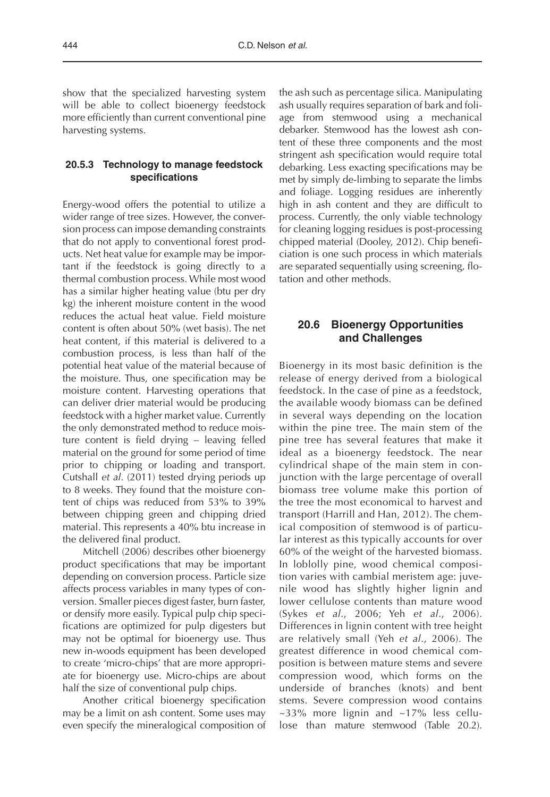show that the specialized harvesting system will be able to collect bioenergy feedstock more efficiently than current conventional pine harvesting systems.

### **20.5.3 Technology to manage feedstock specifications**

Energy-wood offers the potential to utilize a wider range of tree sizes. However, the conversion process can impose demanding constraints that do not apply to conventional forest products. Net heat value for example may be important if the feedstock is going directly to a thermal combustion process. While most wood has a similar higher heating value (btu per dry kg) the inherent moisture content in the wood reduces the actual heat value. Field moisture content is often about 50% (wet basis). The net heat content, if this material is delivered to a combustion process, is less than half of the potential heat value of the material because of the moisture. Thus, one specification may be moisture content. Harvesting operations that can deliver drier material would be producing feedstock with a higher market value. Currently the only demonstrated method to reduce moisture content is field drying – leaving felled material on the ground for some period of time prior to chipping or loading and transport. Cutshall *et al*. (2011) tested drying periods up to 8 weeks. They found that the moisture content of chips was reduced from 53% to 39% between chipping green and chipping dried material. This represents a 40% btu increase in the delivered final product.

Mitchell (2006) describes other bioenergy product specifications that may be important depending on conversion process. Particle size affects process variables in many types of conversion. Smaller pieces digest faster, burn faster, or densify more easily. Typical pulp chip specifications are optimized for pulp digesters but may not be optimal for bioenergy use. Thus new in-woods equipment has been developed to create 'micro-chips' that are more appropriate for bioenergy use. Micro-chips are about half the size of conventional pulp chips.

Another critical bioenergy specification may be a limit on ash content. Some uses may even specify the mineralogical composition of the ash such as percentage silica. Manipulating ash usually requires separation of bark and foliage from stemwood using a mechanical debarker. Stemwood has the lowest ash content of these three components and the most stringent ash specification would require total debarking. Less exacting specifications may be met by simply de-limbing to separate the limbs and foliage. Logging residues are inherently high in ash content and they are difficult to process. Currently, the only viable technology for cleaning logging residues is post-processing chipped material (Dooley, 2012). Chip beneficiation is one such process in which materials are separated sequentially using screening, flotation and other methods.

## **20.6 Bioenergy Opportunities and Challenges**

Bioenergy in its most basic definition is the release of energy derived from a biological feedstock. In the case of pine as a feedstock, the available woody biomass can be defined in several ways depending on the location within the pine tree. The main stem of the pine tree has several features that make it ideal as a bioenergy feedstock. The near cylindrical shape of the main stem in conjunction with the large percentage of overall biomass tree volume make this portion of the tree the most economical to harvest and transport (Harrill and Han, 2012). The chemical composition of stemwood is of particular interest as this typically accounts for over 60% of the weight of the harvested biomass. In loblolly pine, wood chemical composition varies with cambial meristem age: juvenile wood has slightly higher lignin and lower cellulose contents than mature wood (Sykes *et al*., 2006; Yeh *et al*., 2006). Differences in lignin content with tree height are relatively small (Yeh *et al*., 2006). The greatest difference in wood chemical composition is between mature stems and severe compression wood, which forms on the underside of branches (knots) and bent stems. Severe compression wood contains  $\sim$ 33% more lignin and  $\sim$ 17% less cellulose than mature stemwood (Table 20.2).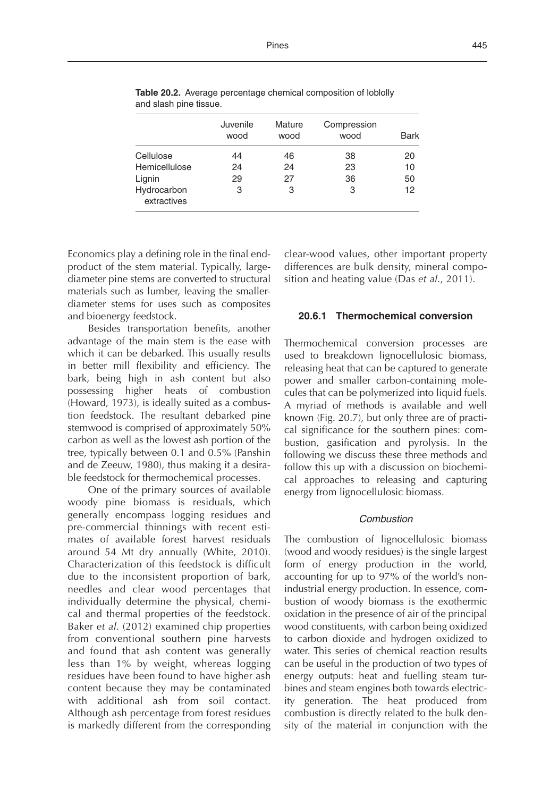|                                      | Juvenile<br>wood | Mature<br>wood | Compression<br>wood | <b>Bark</b>    |
|--------------------------------------|------------------|----------------|---------------------|----------------|
| Cellulose<br>Hemicellulose<br>Lignin | 44<br>24<br>29   | 46<br>24<br>27 | 38<br>23<br>36      | 20<br>10<br>50 |
| Hydrocarbon<br>extractives           | 3                | 3              | 3                   | 12             |

**Table 20.2.** Average percentage chemical composition of loblolly and slash pine tissue.

Economics play a defining role in the final endproduct of the stem material. Typically, largediameter pine stems are converted to structural materials such as lumber, leaving the smallerdiameter stems for uses such as composites and bioenergy feedstock.

Besides transportation benefits, another advantage of the main stem is the ease with which it can be debarked. This usually results in better mill flexibility and efficiency. The bark, being high in ash content but also possessing higher heats of combustion (Howard, 1973), is ideally suited as a combustion feedstock. The resultant debarked pine stemwood is comprised of approximately 50% carbon as well as the lowest ash portion of the tree, typically between 0.1 and 0.5% (Panshin and de Zeeuw, 1980), thus making it a desirable feedstock for thermochemical processes.

One of the primary sources of available woody pine biomass is residuals, which generally encompass logging residues and pre-commercial thinnings with recent estimates of available forest harvest residuals around 54 Mt dry annually (White, 2010). Characterization of this feedstock is difficult due to the inconsistent proportion of bark, needles and clear wood percentages that individually determine the physical, chemical and thermal properties of the feedstock. Baker *et al*. (2012) examined chip properties from conventional southern pine harvests and found that ash content was generally less than 1% by weight, whereas logging residues have been found to have higher ash content because they may be contaminated with additional ash from soil contact. Although ash percentage from forest residues is markedly different from the corresponding

clear-wood values, other important property differences are bulk density, mineral composition and heating value (Das *et al*., 2011).

#### **20.6.1 Thermochemical conversion**

Thermochemical conversion processes are used to breakdown lignocellulosic biomass, releasing heat that can be captured to generate power and smaller carbon-containing molecules that can be polymerized into liquid fuels. A myriad of methods is available and well known (Fig. 20.7), but only three are of practical significance for the southern pines: combustion, gasification and pyrolysis. In the following we discuss these three methods and follow this up with a discussion on biochemical approaches to releasing and capturing energy from lignocellulosic biomass.

#### *Combustion*

The combustion of lignocellulosic biomass (wood and woody residues) is the single largest form of energy production in the world, accounting for up to 97% of the world's nonindustrial energy production. In essence, combustion of woody biomass is the exothermic oxidation in the presence of air of the principal wood constituents, with carbon being oxidized to carbon dioxide and hydrogen oxidized to water. This series of chemical reaction results can be useful in the production of two types of energy outputs: heat and fuelling steam turbines and steam engines both towards electricity generation. The heat produced from combustion is directly related to the bulk density of the material in conjunction with the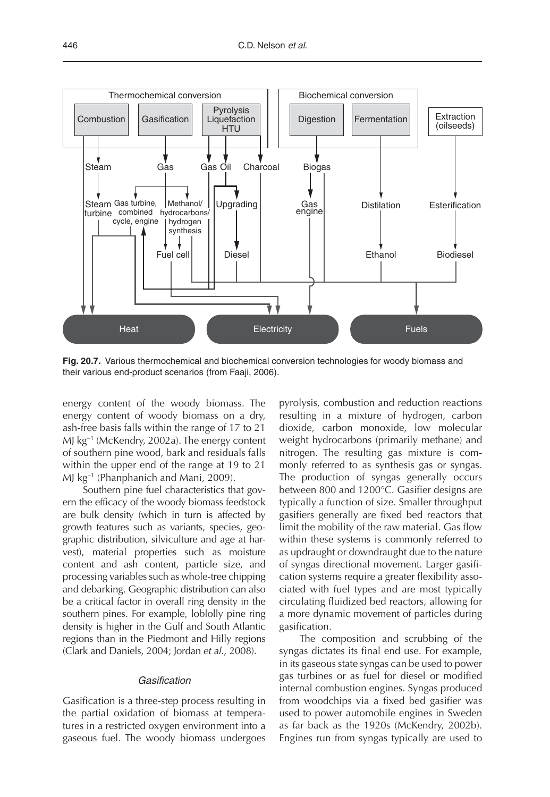

**Fig. 20.7.** Various thermochemical and biochemical conversion technologies for woody biomass and their various end-product scenarios (from Faaji, 2006).

energy content of the woody biomass. The energy content of woody biomass on a dry, ash-free basis falls within the range of 17 to 21 MJ kg−1 (McKendry, 2002a). The energy content of southern pine wood, bark and residuals falls within the upper end of the range at 19 to 21 MJ kg−1 (Phanphanich and Mani, 2009).

Southern pine fuel characteristics that govern the efficacy of the woody biomass feedstock are bulk density (which in turn is affected by growth features such as variants, species, geographic distribution, silviculture and age at harvest), material properties such as moisture content and ash content, particle size, and processing variables such as whole-tree chipping and debarking. Geographic distribution can also be a critical factor in overall ring density in the southern pines. For example, loblolly pine ring density is higher in the Gulf and South Atlantic regions than in the Piedmont and Hilly regions (Clark and Daniels, 2004; Jordan *et al*., 2008).

#### *Gasification*

Gasification is a three-step process resulting in the partial oxidation of biomass at temperatures in a restricted oxygen environment into a gaseous fuel. The woody biomass undergoes

pyrolysis, combustion and reduction reactions resulting in a mixture of hydrogen, carbon dioxide, carbon monoxide, low molecular weight hydrocarbons (primarily methane) and nitrogen. The resulting gas mixture is commonly referred to as synthesis gas or syngas. The production of syngas generally occurs between 800 and 1200°C. Gasifier designs are typically a function of size. Smaller throughput gasifiers generally are fixed bed reactors that limit the mobility of the raw material. Gas flow within these systems is commonly referred to as updraught or downdraught due to the nature of syngas directional movement. Larger gasification systems require a greater flexibility associated with fuel types and are most typically circulating fluidized bed reactors, allowing for a more dynamic movement of particles during gasification.

The composition and scrubbing of the syngas dictates its final end use. For example, in its gaseous state syngas can be used to power gas turbines or as fuel for diesel or modified internal combustion engines. Syngas produced from woodchips via a fixed bed gasifier was used to power automobile engines in Sweden as far back as the 1920s (McKendry, 2002b). Engines run from syngas typically are used to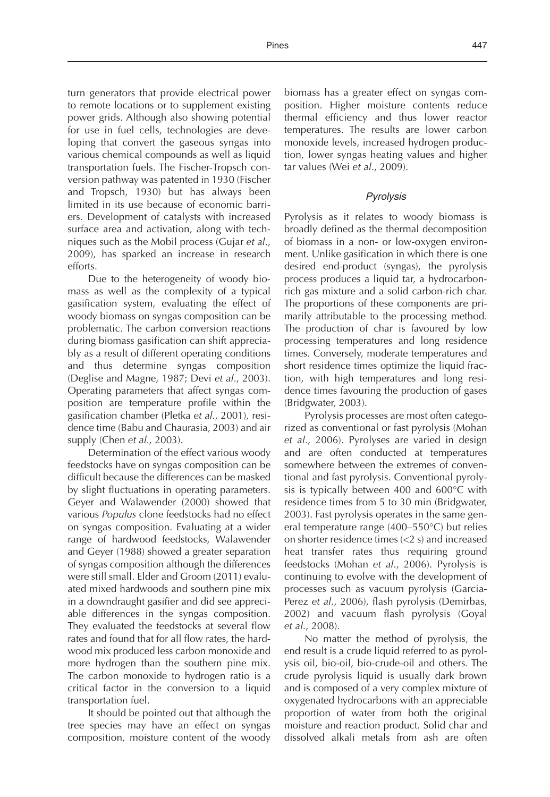turn generators that provide electrical power to remote locations or to supplement existing power grids. Although also showing potential for use in fuel cells, technologies are developing that convert the gaseous syngas into various chemical compounds as well as liquid transportation fuels. The Fischer-Tropsch conversion pathway was patented in 1930 (Fischer and Tropsch, 1930) but has always been limited in its use because of economic barriers. Development of catalysts with increased surface area and activation, along with techniques such as the Mobil process (Gujar *et al*., 2009), has sparked an increase in research efforts.

Due to the heterogeneity of woody biomass as well as the complexity of a typical gasification system, evaluating the effect of woody biomass on syngas composition can be problematic. The carbon conversion reactions during biomass gasification can shift appreciably as a result of different operating conditions and thus determine syngas composition (Deglise and Magne, 1987; Devi *et al*., 2003). Operating parameters that affect syngas composition are temperature profile within the gasification chamber (Pletka *et al*., 2001), residence time (Babu and Chaurasia, 2003) and air supply (Chen *et al*., 2003).

Determination of the effect various woody feedstocks have on syngas composition can be difficult because the differences can be masked by slight fluctuations in operating parameters. Geyer and Walawender (2000) showed that various *Populus* clone feedstocks had no effect on syngas composition. Evaluating at a wider range of hardwood feedstocks, Walawender and Geyer (1988) showed a greater separation of syngas composition although the differences were still small. Elder and Groom (2011) evaluated mixed hardwoods and southern pine mix in a downdraught gasifier and did see appreciable differences in the syngas composition. They evaluated the feedstocks at several flow rates and found that for all flow rates, the hardwood mix produced less carbon monoxide and more hydrogen than the southern pine mix. The carbon monoxide to hydrogen ratio is a critical factor in the conversion to a liquid transportation fuel.

It should be pointed out that although the tree species may have an effect on syngas composition, moisture content of the woody biomass has a greater effect on syngas composition. Higher moisture contents reduce thermal efficiency and thus lower reactor temperatures. The results are lower carbon monoxide levels, increased hydrogen production, lower syngas heating values and higher tar values (Wei *et al*., 2009).

#### *Pyrolysis*

Pyrolysis as it relates to woody biomass is broadly defined as the thermal decomposition of biomass in a non- or low-oxygen environment. Unlike gasification in which there is one desired end-product (syngas), the pyrolysis process produces a liquid tar, a hydrocarbonrich gas mixture and a solid carbon-rich char. The proportions of these components are primarily attributable to the processing method. The production of char is favoured by low processing temperatures and long residence times. Conversely, moderate temperatures and short residence times optimize the liquid fraction, with high temperatures and long residence times favouring the production of gases (Bridgwater, 2003).

Pyrolysis processes are most often categorized as conventional or fast pyrolysis (Mohan *et al*., 2006). Pyrolyses are varied in design and are often conducted at temperatures somewhere between the extremes of conventional and fast pyrolysis. Conventional pyrolysis is typically between 400 and 600°C with residence times from 5 to 30 min (Bridgwater, 2003). Fast pyrolysis operates in the same general temperature range (400–550°C) but relies on shorter residence times (<2 s) and increased heat transfer rates thus requiring ground feedstocks (Mohan *et al*., 2006). Pyrolysis is continuing to evolve with the development of processes such as vacuum pyrolysis (Garcia-Perez *et al*., 2006), flash pyrolysis (Demirbas, 2002) and vacuum flash pyrolysis (Goyal *et al*., 2008).

No matter the method of pyrolysis, the end result is a crude liquid referred to as pyrolysis oil, bio-oil, bio-crude-oil and others. The crude pyrolysis liquid is usually dark brown and is composed of a very complex mixture of oxygenated hydrocarbons with an appreciable proportion of water from both the original moisture and reaction product. Solid char and dissolved alkali metals from ash are often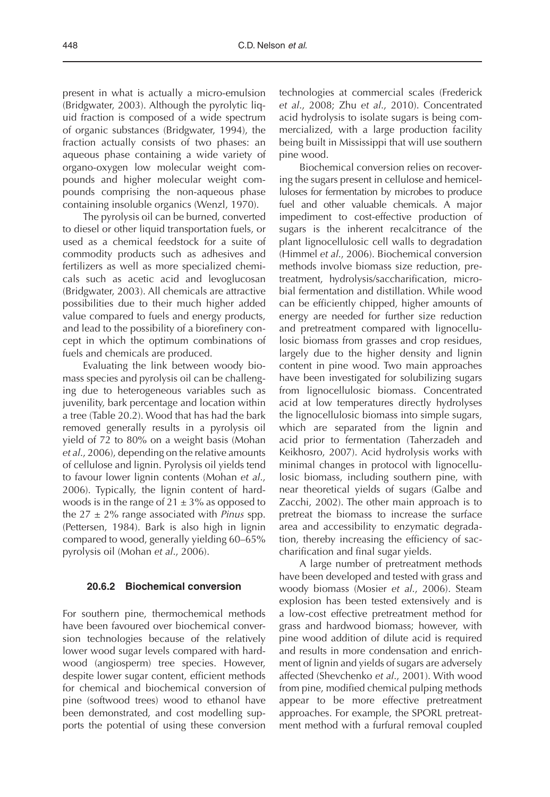present in what is actually a micro-emulsion (Bridgwater, 2003). Although the pyrolytic liquid fraction is composed of a wide spectrum of organic substances (Bridgwater, 1994), the fraction actually consists of two phases: an aqueous phase containing a wide variety of organo-oxygen low molecular weight compounds and higher molecular weight compounds comprising the non-aqueous phase containing insoluble organics (Wenzl, 1970).

The pyrolysis oil can be burned, converted to diesel or other liquid transportation fuels, or used as a chemical feedstock for a suite of commodity products such as adhesives and fertilizers as well as more specialized chemicals such as acetic acid and levoglucosan (Bridgwater, 2003). All chemicals are attractive possibilities due to their much higher added value compared to fuels and energy products, and lead to the possibility of a biorefinery concept in which the optimum combinations of fuels and chemicals are produced.

Evaluating the link between woody biomass species and pyrolysis oil can be challenging due to heterogeneous variables such as juvenility, bark percentage and location within a tree (Table 20.2). Wood that has had the bark removed generally results in a pyrolysis oil yield of 72 to 80% on a weight basis (Mohan *et al*., 2006), depending on the relative amounts of cellulose and lignin. Pyrolysis oil yields tend to favour lower lignin contents (Mohan *et al*., 2006). Typically, the lignin content of hardwoods is in the range of  $21 \pm 3\%$  as opposed to the  $27 \pm 2\%$  range associated with *Pinus* spp. (Pettersen, 1984). Bark is also high in lignin compared to wood, generally yielding 60–65% pyrolysis oil (Mohan *et al*., 2006).

#### **20.6.2 Biochemical conversion**

For southern pine, thermochemical methods have been favoured over biochemical conversion technologies because of the relatively lower wood sugar levels compared with hardwood (angiosperm) tree species. However, despite lower sugar content, efficient methods for chemical and biochemical conversion of pine (softwood trees) wood to ethanol have been demonstrated, and cost modelling supports the potential of using these conversion

technologies at commercial scales (Frederick *et al*., 2008; Zhu *et al*., 2010). Concentrated acid hydrolysis to isolate sugars is being commercialized, with a large production facility being built in Mississippi that will use southern pine wood.

Biochemical conversion relies on recovering the sugars present in cellulose and hemicelluloses for fermentation by microbes to produce fuel and other valuable chemicals. A major impediment to cost-effective production of sugars is the inherent recalcitrance of the plant lignocellulosic cell walls to degradation (Himmel *et al*., 2006). Biochemical conversion methods involve biomass size reduction, pretreatment, hydrolysis/saccharification, microbial fermentation and distillation. While wood can be efficiently chipped, higher amounts of energy are needed for further size reduction and pretreatment compared with lignocellulosic biomass from grasses and crop residues, largely due to the higher density and lignin content in pine wood. Two main approaches have been investigated for solubilizing sugars from lignocellulosic biomass. Concentrated acid at low temperatures directly hydrolyses the lignocellulosic biomass into simple sugars, which are separated from the lignin and acid prior to fermentation (Taherzadeh and Keikhosro, 2007). Acid hydrolysis works with minimal changes in protocol with lignocellulosic biomass, including southern pine, with near theoretical yields of sugars (Galbe and Zacchi, 2002). The other main approach is to pretreat the biomass to increase the surface area and accessibility to enzymatic degradation, thereby increasing the efficiency of saccharification and final sugar yields.

A large number of pretreatment methods have been developed and tested with grass and woody biomass (Mosier *et al*., 2006). Steam explosion has been tested extensively and is a low-cost effective pretreatment method for grass and hardwood biomass; however, with pine wood addition of dilute acid is required and results in more condensation and enrichment of lignin and yields of sugars are adversely affected (Shevchenko *et al*., 2001). With wood from pine, modified chemical pulping methods appear to be more effective pretreatment approaches. For example, the SPORL pretreatment method with a furfural removal coupled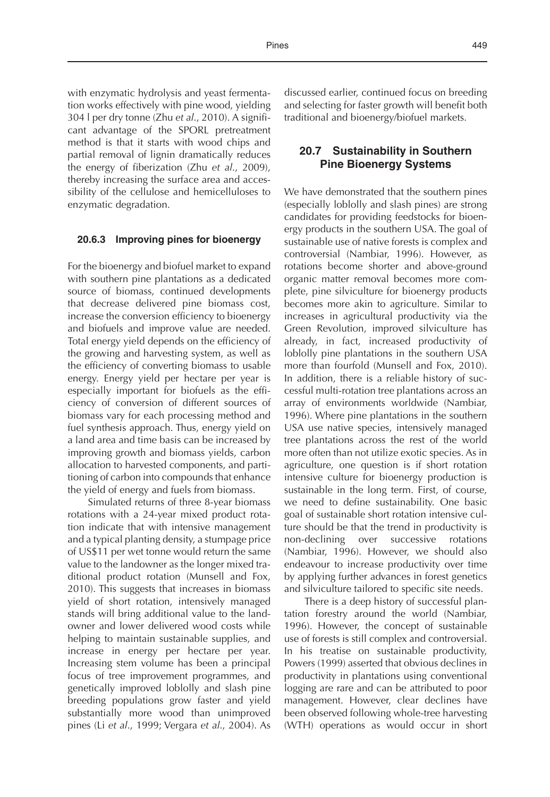with enzymatic hydrolysis and yeast fermentation works effectively with pine wood, yielding 304 l per dry tonne (Zhu *et al*., 2010). A significant advantage of the SPORL pretreatment method is that it starts with wood chips and partial removal of lignin dramatically reduces the energy of fiberization (Zhu *et al*., 2009), thereby increasing the surface area and accessibility of the cellulose and hemicelluloses to enzymatic degradation.

#### **20.6.3 Improving pines for bioenergy**

For the bioenergy and biofuel market to expand with southern pine plantations as a dedicated source of biomass, continued developments that decrease delivered pine biomass cost, increase the conversion efficiency to bioenergy and biofuels and improve value are needed. Total energy yield depends on the efficiency of the growing and harvesting system, as well as the efficiency of converting biomass to usable energy. Energy yield per hectare per year is especially important for biofuels as the efficiency of conversion of different sources of biomass vary for each processing method and fuel synthesis approach. Thus, energy yield on a land area and time basis can be increased by improving growth and biomass yields, carbon allocation to harvested components, and partitioning of carbon into compounds that enhance the yield of energy and fuels from biomass.

Simulated returns of three 8-year biomass rotations with a 24-year mixed product rotation indicate that with intensive management and a typical planting density, a stumpage price of US\$11 per wet tonne would return the same value to the landowner as the longer mixed traditional product rotation (Munsell and Fox, 2010). This suggests that increases in biomass yield of short rotation, intensively managed stands will bring additional value to the landowner and lower delivered wood costs while helping to maintain sustainable supplies, and increase in energy per hectare per year. Increasing stem volume has been a principal focus of tree improvement programmes, and genetically improved loblolly and slash pine breeding populations grow faster and yield substantially more wood than unimproved pines (Li *et al*., 1999; Vergara *et al*., 2004). As discussed earlier, continued focus on breeding and selecting for faster growth will benefit both traditional and bioenergy/biofuel markets.

## **20.7 Sustainability in Southern Pine Bioenergy Systems**

We have demonstrated that the southern pines (especially loblolly and slash pines) are strong candidates for providing feedstocks for bioenergy products in the southern USA. The goal of sustainable use of native forests is complex and controversial (Nambiar, 1996). However, as rotations become shorter and above-ground organic matter removal becomes more complete, pine silviculture for bioenergy products becomes more akin to agriculture. Similar to increases in agricultural productivity via the Green Revolution, improved silviculture has already, in fact, increased productivity of loblolly pine plantations in the southern USA more than fourfold (Munsell and Fox, 2010). In addition, there is a reliable history of successful multi-rotation tree plantations across an array of environments worldwide (Nambiar, 1996). Where pine plantations in the southern USA use native species, intensively managed tree plantations across the rest of the world more often than not utilize exotic species. As in agriculture, one question is if short rotation intensive culture for bioenergy production is sustainable in the long term. First, of course, we need to define sustainability. One basic goal of sustainable short rotation intensive culture should be that the trend in productivity is non-declining over successive rotations (Nambiar, 1996). However, we should also endeavour to increase productivity over time by applying further advances in forest genetics and silviculture tailored to specific site needs.

There is a deep history of successful plantation forestry around the world (Nambiar, 1996). However, the concept of sustainable use of forests is still complex and controversial. In his treatise on sustainable productivity, Powers (1999) asserted that obvious declines in productivity in plantations using conventional logging are rare and can be attributed to poor management. However, clear declines have been observed following whole-tree harvesting (WTH) operations as would occur in short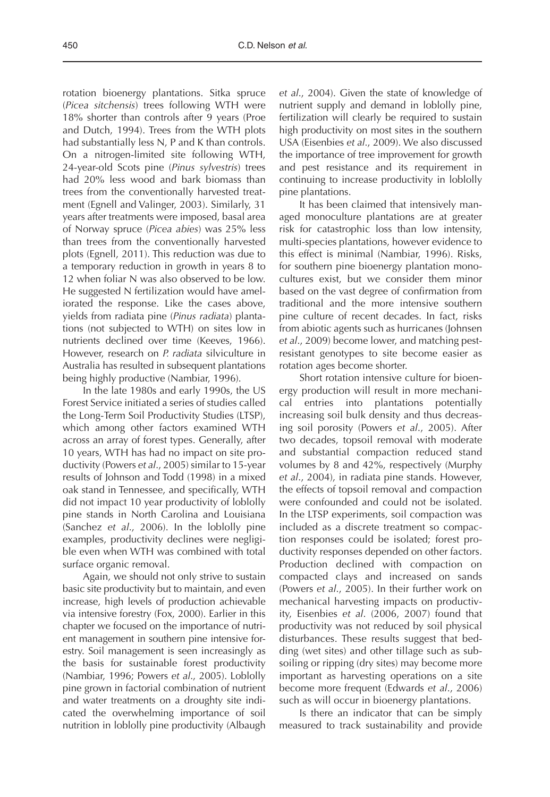rotation bioenergy plantations. Sitka spruce (*Picea sitchensis*) trees following WTH were 18% shorter than controls after 9 years (Proe and Dutch, 1994). Trees from the WTH plots had substantially less N, P and K than controls. On a nitrogen-limited site following WTH, 24-year-old Scots pine (*Pinus sylvestris*) trees had 20% less wood and bark biomass than trees from the conventionally harvested treatment (Egnell and Valinger, 2003). Similarly, 31 years after treatments were imposed, basal area of Norway spruce (*Picea abies*) was 25% less than trees from the conventionally harvested plots (Egnell, 2011). This reduction was due to a temporary reduction in growth in years 8 to 12 when foliar N was also observed to be low. He suggested N fertilization would have ameliorated the response. Like the cases above, yields from radiata pine (*Pinus radiata*) plantations (not subjected to WTH) on sites low in nutrients declined over time (Keeves, 1966). However, research on *P. radiata* silviculture in Australia has resulted in subsequent plantations being highly productive (Nambiar, 1996).

In the late 1980s and early 1990s, the US Forest Service initiated a series of studies called the Long-Term Soil Productivity Studies (LTSP), which among other factors examined WTH across an array of forest types. Generally, after 10 years, WTH has had no impact on site productivity (Powers *et al*., 2005) similar to 15-year results of Johnson and Todd (1998) in a mixed oak stand in Tennessee, and specifically, WTH did not impact 10 year productivity of loblolly pine stands in North Carolina and Louisiana (Sanchez *et al*., 2006). In the loblolly pine examples, productivity declines were negligible even when WTH was combined with total surface organic removal.

Again, we should not only strive to sustain basic site productivity but to maintain, and even increase, high levels of production achievable via intensive forestry (Fox, 2000). Earlier in this chapter we focused on the importance of nutrient management in southern pine intensive forestry. Soil management is seen increasingly as the basis for sustainable forest productivity (Nambiar, 1996; Powers *et al*., 2005). Loblolly pine grown in factorial combination of nutrient and water treatments on a droughty site indicated the overwhelming importance of soil nutrition in loblolly pine productivity (Albaugh

*et al*., 2004). Given the state of knowledge of nutrient supply and demand in loblolly pine, fertilization will clearly be required to sustain high productivity on most sites in the southern USA (Eisenbies *et al*., 2009). We also discussed the importance of tree improvement for growth and pest resistance and its requirement in continuing to increase productivity in loblolly pine plantations.

It has been claimed that intensively managed monoculture plantations are at greater risk for catastrophic loss than low intensity, multi-species plantations, however evidence to this effect is minimal (Nambiar, 1996). Risks, for southern pine bioenergy plantation monocultures exist, but we consider them minor based on the vast degree of confirmation from traditional and the more intensive southern pine culture of recent decades. In fact, risks from abiotic agents such as hurricanes (Johnsen *et al*., 2009) become lower, and matching pestresistant genotypes to site become easier as rotation ages become shorter.

Short rotation intensive culture for bioenergy production will result in more mechanical entries into plantations potentially increasing soil bulk density and thus decreasing soil porosity (Powers *et al*., 2005). After two decades, topsoil removal with moderate and substantial compaction reduced stand volumes by 8 and 42%, respectively (Murphy *et al*., 2004), in radiata pine stands. However, the effects of topsoil removal and compaction were confounded and could not be isolated. In the LTSP experiments, soil compaction was included as a discrete treatment so compaction responses could be isolated; forest productivity responses depended on other factors. Production declined with compaction on compacted clays and increased on sands (Powers *et al*., 2005). In their further work on mechanical harvesting impacts on productivity, Eisenbies *et al*. (2006, 2007) found that productivity was not reduced by soil physical disturbances. These results suggest that bedding (wet sites) and other tillage such as subsoiling or ripping (dry sites) may become more important as harvesting operations on a site become more frequent (Edwards *et al*., 2006) such as will occur in bioenergy plantations.

Is there an indicator that can be simply measured to track sustainability and provide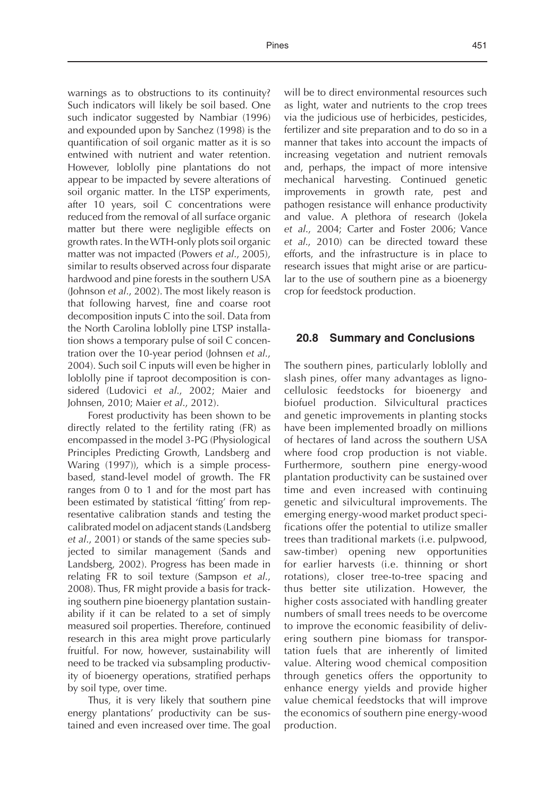warnings as to obstructions to its continuity? Such indicators will likely be soil based. One such indicator suggested by Nambiar (1996) and expounded upon by Sanchez (1998) is the quantification of soil organic matter as it is so entwined with nutrient and water retention. However, loblolly pine plantations do not appear to be impacted by severe alterations of soil organic matter. In the LTSP experiments, after 10 years, soil C concentrations were reduced from the removal of all surface organic matter but there were negligible effects on growth rates. In the WTH-only plots soil organic matter was not impacted (Powers *et al*., 2005), similar to results observed across four disparate hardwood and pine forests in the southern USA (Johnson *et al*., 2002). The most likely reason is that following harvest, fine and coarse root decomposition inputs C into the soil. Data from the North Carolina loblolly pine LTSP installation shows a temporary pulse of soil C concentration over the 10-year period (Johnsen *et al*., 2004). Such soil C inputs will even be higher in loblolly pine if taproot decomposition is considered (Ludovici *et al*., 2002; Maier and Johnsen, 2010; Maier *et al*., 2012).

Forest productivity has been shown to be directly related to the fertility rating (FR) as encompassed in the model 3-PG (Physiological Principles Predicting Growth, Landsberg and Waring (1997)), which is a simple processbased, stand-level model of growth. The FR ranges from 0 to 1 and for the most part has been estimated by statistical 'fitting' from representative calibration stands and testing the calibrated model on adjacent stands (Landsberg *et al*., 2001) or stands of the same species subjected to similar management (Sands and Landsberg, 2002). Progress has been made in relating FR to soil texture (Sampson *et al*., 2008). Thus, FR might provide a basis for tracking southern pine bioenergy plantation sustainability if it can be related to a set of simply measured soil properties. Therefore, continued research in this area might prove particularly fruitful. For now, however, sustainability will need to be tracked via subsampling productivity of bioenergy operations, stratified perhaps by soil type, over time.

Thus, it is very likely that southern pine energy plantations' productivity can be sustained and even increased over time. The goal will be to direct environmental resources such as light, water and nutrients to the crop trees via the judicious use of herbicides, pesticides, fertilizer and site preparation and to do so in a manner that takes into account the impacts of increasing vegetation and nutrient removals and, perhaps, the impact of more intensive mechanical harvesting. Continued genetic improvements in growth rate, pest and pathogen resistance will enhance productivity and value. A plethora of research (Jokela *et al*., 2004; Carter and Foster 2006; Vance *et al*., 2010) can be directed toward these efforts, and the infrastructure is in place to research issues that might arise or are particular to the use of southern pine as a bioenergy crop for feedstock production.

#### **20.8 Summary and Conclusions**

The southern pines, particularly loblolly and slash pines, offer many advantages as lignocellulosic feedstocks for bioenergy and biofuel production. Silvicultural practices and genetic improvements in planting stocks have been implemented broadly on millions of hectares of land across the southern USA where food crop production is not viable. Furthermore, southern pine energy-wood plantation productivity can be sustained over time and even increased with continuing genetic and silvicultural improvements. The emerging energy-wood market product specifications offer the potential to utilize smaller trees than traditional markets (i.e. pulpwood, saw-timber) opening new opportunities for earlier harvests (i.e. thinning or short rotations), closer tree-to-tree spacing and thus better site utilization. However, the higher costs associated with handling greater numbers of small trees needs to be overcome to improve the economic feasibility of delivering southern pine biomass for transportation fuels that are inherently of limited value. Altering wood chemical composition through genetics offers the opportunity to enhance energy yields and provide higher value chemical feedstocks that will improve the economics of southern pine energy-wood production.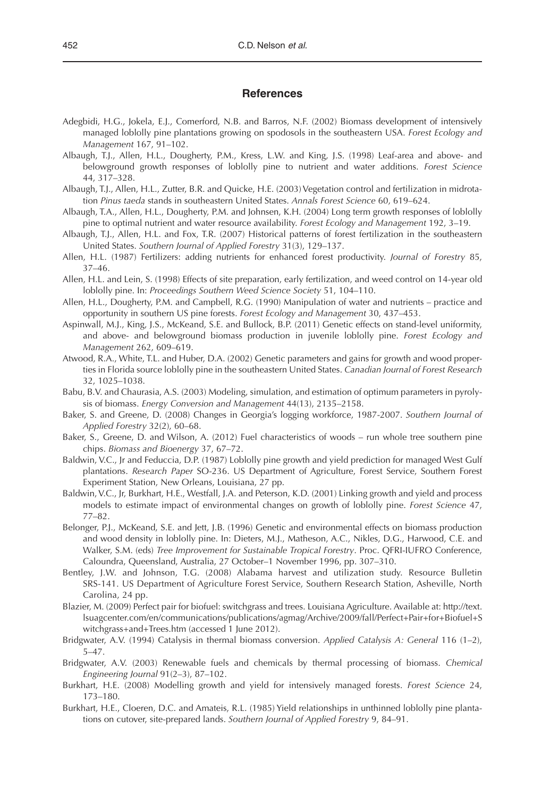#### **References**

- Adegbidi, H.G., Jokela, E.J., Comerford, N.B. and Barros, N.F. (2002) Biomass development of intensively managed loblolly pine plantations growing on spodosols in the southeastern USA. *Forest Ecology and Management* 167, 91–102.
- Albaugh, T.J., Allen, H.L., Dougherty, P.M., Kress, L.W. and King, J.S. (1998) Leaf-area and above- and belowground growth responses of loblolly pine to nutrient and water additions. *Forest Science* 44, 317–328.
- Albaugh, T.J., Allen, H.L., Zutter, B.R. and Quicke, H.E. (2003) Vegetation control and fertilization in midrotation *Pinus taeda* stands in southeastern United States. *Annals Forest Science* 60, 619–624.
- Albaugh, T.A., Allen, H.L., Dougherty, P.M. and Johnsen, K.H. (2004) Long term growth responses of loblolly pine to optimal nutrient and water resource availability. *Forest Ecology and Management* 192, 3–19.
- Albaugh, T.J., Allen, H.L. and Fox, T.R. (2007) Historical patterns of forest fertilization in the southeastern United States. *Southern Journal of Applied Forestry* 31(3), 129–137.
- Allen, H.L. (1987) Fertilizers: adding nutrients for enhanced forest productivity. *Journal of Forestry* 85, 37–46.
- Allen, H.L. and Lein, S. (1998) Effects of site preparation, early fertilization, and weed control on 14-year old loblolly pine. In: *Proceedings Southern Weed Science Society* 51, 104–110.
- Allen, H.L., Dougherty, P.M. and Campbell, R.G. (1990) Manipulation of water and nutrients practice and opportunity in southern US pine forests. *Forest Ecology and Management* 30, 437–453.
- Aspinwall, M.J., King, J.S., McKeand, S.E. and Bullock, B.P. (2011) Genetic effects on stand-level uniformity, and above- and belowground biomass production in juvenile loblolly pine. *Forest Ecology and Management* 262, 609–619.
- Atwood, R.A., White, T.L. and Huber, D.A. (2002) Genetic parameters and gains for growth and wood properties in Florida source loblolly pine in the southeastern United States. *Canadian Journal of Forest Research* 32, 1025–1038.
- Babu, B.V. and Chaurasia, A.S. (2003) Modeling, simulation, and estimation of optimum parameters in pyrolysis of biomass. *Energy Conversion and Management* 44(13), 2135–2158.
- Baker, S. and Greene, D. (2008) Changes in Georgia's logging workforce, 1987-2007. *Southern Journal of Applied Forestry* 32(2), 60–68.
- Baker, S., Greene, D. and Wilson, A. (2012) Fuel characteristics of woods run whole tree southern pine chips. *Biomass and Bioenergy* 37, 67–72.
- Baldwin, V.C., Jr and Feduccia, D.P. (1987) Loblolly pine growth and yield prediction for managed West Gulf plantations. *Research Paper* SO-236. US Department of Agriculture, Forest Service, Southern Forest Experiment Station, New Orleans, Louisiana, 27 pp.
- Baldwin, V.C., Jr, Burkhart, H.E., Westfall, J.A. and Peterson, K.D. (2001) Linking growth and yield and process models to estimate impact of environmental changes on growth of loblolly pine. *Forest Science* 47, 77–82.
- Belonger, P.J., McKeand, S.E. and Jett, J.B. (1996) Genetic and environmental effects on biomass production and wood density in loblolly pine. In: Dieters, M.J., Matheson, A.C., Nikles, D.G., Harwood, C.E. and Walker, S.M. (eds) *Tree Improvement for Sustainable Tropical Forestry*. Proc. QFRI-IUFRO Conference, Caloundra, Queensland, Australia, 27 October–1 November 1996, pp. 307–310.
- Bentley, J.W. and Johnson, T.G. (2008) Alabama harvest and utilization study. Resource Bulletin SRS-141. US Department of Agriculture Forest Service, Southern Research Station, Asheville, North Carolina, 24 pp.
- Blazier, M. (2009) Perfect pair for biofuel: switchgrass and trees. Louisiana Agriculture. Available at: [http://text.](http://text.lsuagcenter.com/en/communications/publications/agmag/Archive/2009/fall/Perfect+Pair+for+Biofuel+Switchgrass+and+Trees.htm) [lsuagcenter.com/en/communications/publications/agmag/Archive/2009/fall/Perfect+Pair+for+Biofuel+S](http://text.lsuagcenter.com/en/communications/publications/agmag/Archive/2009/fall/Perfect+Pair+for+Biofuel+Switchgrass+and+Trees.htm) [witchgrass+and+Trees.htm](http://text.lsuagcenter.com/en/communications/publications/agmag/Archive/2009/fall/Perfect+Pair+for+Biofuel+Switchgrass+and+Trees.htm) (accessed 1 June 2012).
- Bridgwater, A.V. (1994) Catalysis in thermal biomass conversion. *Applied Catalysis A: General* 116 (1–2), 5–47.
- Bridgwater, A.V. (2003) Renewable fuels and chemicals by thermal processing of biomass. *Chemical Engineering Journal* 91(2–3), 87–102.
- Burkhart, H.E. (2008) Modelling growth and yield for intensively managed forests. *Forest Science* 24, 173–180.
- Burkhart, H.E., Cloeren, D.C. and Amateis, R.L. (1985) Yield relationships in unthinned loblolly pine plantations on cutover, site-prepared lands. *Southern Journal of Applied Forestry* 9, 84–91.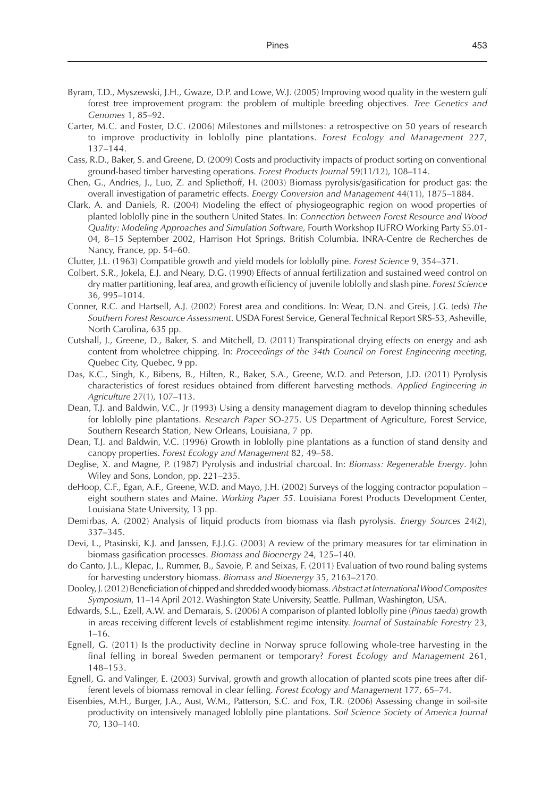- Byram, T.D., Myszewski, J.H., Gwaze, D.P. and Lowe, W.J. (2005) Improving wood quality in the western gulf forest tree improvement program: the problem of multiple breeding objectives. *Tree Genetics and Genomes* 1, 85–92.
- Carter, M.C. and Foster, D.C. (2006) Milestones and millstones: a retrospective on 50 years of research to improve productivity in loblolly pine plantations. *Forest Ecology and Management* 227, 137–144.
- Cass, R.D., Baker, S. and Greene, D. (2009) Costs and productivity impacts of product sorting on conventional ground-based timber harvesting operations. *Forest Products Journal* 59(11/12), 108–114.
- Chen, G., Andries, J., Luo, Z. and Spliethoff, H. (2003) Biomass pyrolysis/gasification for product gas: the overall investigation of parametric effects. *Energy Conversion and Management* 44(11), 1875–1884.
- Clark, A. and Daniels, R. (2004) Modeling the effect of physiogeographic region on wood properties of planted loblolly pine in the southern United States. In: *Connection between Forest Resource and Wood Quality: Modeling Approaches and Simulation Software*, Fourth Workshop IUFRO Working Party S5.01- 04, 8–15 September 2002, Harrison Hot Springs, British Columbia. INRA-Centre de Recherches de Nancy, France, pp. 54–60.
- Clutter, J.L. (1963) Compatible growth and yield models for loblolly pine. *Forest Science* 9, 354–371.
- Colbert, S.R., Jokela, E.J. and Neary, D.G. (1990) Effects of annual fertilization and sustained weed control on dry matter partitioning, leaf area, and growth efficiency of juvenile loblolly and slash pine. *Forest Science* 36, 995–1014.
- Conner, R.C. and Hartsell, A.J. (2002) Forest area and conditions. In: Wear, D.N. and Greis, J.G. (eds) *The Southern Forest Resource Assessment*. USDA Forest Service, General Technical Report SRS-53, Asheville, North Carolina, 635 pp.
- Cutshall, J., Greene, D., Baker, S. and Mitchell, D. (2011) Transpirational drying effects on energy and ash content from wholetree chipping. In: *Proceedings of the 34th Council on Forest Engineering meeting*, Quebec City, Quebec, 9 pp.
- Das, K.C., Singh, K., Bibens, B., Hilten, R., Baker, S.A., Greene, W.D. and Peterson, J.D. (2011) Pyrolysis characteristics of forest residues obtained from different harvesting methods. *Applied Engineering in Agriculture* 27(1), 107–113.
- Dean, T.J. and Baldwin, V.C., Jr (1993) Using a density management diagram to develop thinning schedules for loblolly pine plantations. *Research Paper* SO-275. US Department of Agriculture, Forest Service, Southern Research Station, New Orleans, Louisiana, 7 pp.
- Dean, T.J. and Baldwin, V.C. (1996) Growth in loblolly pine plantations as a function of stand density and canopy properties. *Forest Ecology and Management* 82, 49–58.
- Deglise, X. and Magne, P. (1987) Pyrolysis and industrial charcoal. In: *Biomass: Regenerable Energy*. John Wiley and Sons, London, pp. 221–235.
- deHoop, C.F., Egan, A.F., Greene, W.D. and Mayo, J.H. (2002) Surveys of the logging contractor population eight southern states and Maine. *Working Paper 55*. Louisiana Forest Products Development Center, Louisiana State University, 13 pp.
- Demirbas, A. (2002) Analysis of liquid products from biomass via flash pyrolysis. *Energy Sources* 24(2), 337–345.
- Devi, L., Ptasinski, K.J. and Janssen, F.J.J.G. (2003) A review of the primary measures for tar elimination in biomass gasification processes. *Biomass and Bioenergy* 24, 125–140.
- do Canto, J.L., Klepac, J., Rummer, B., Savoie, P. and Seixas, F. (2011) Evaluation of two round baling systems for harvesting understory biomass. *Biomass and Bioenergy* 35, 2163–2170.
- Dooley, J. (2012) Beneficiation of chipped and shredded woody biomass. *Abstract at International Wood Composites Symposium*, 11–14 April 2012. Washington State University, Seattle. Pullman, Washington, USA.
- Edwards, S.L., Ezell, A.W. and Demarais, S. (2006) A comparison of planted loblolly pine (*Pinus taeda*) growth in areas receiving different levels of establishment regime intensity. *Journal of Sustainable Forestry* 23,  $1 - 16$ .
- Egnell, G. (2011) Is the productivity decline in Norway spruce following whole-tree harvesting in the final felling in boreal Sweden permanent or temporary? *Forest Ecology and Management* 261, 148–153.
- Egnell, G. and Valinger, E. (2003) Survival, growth and growth allocation of planted scots pine trees after different levels of biomass removal in clear felling. *Forest Ecology and Management* 177, 65–74.
- Eisenbies, M.H., Burger, J.A., Aust, W.M., Patterson, S.C. and Fox, T.R. (2006) Assessing change in soil-site productivity on intensively managed loblolly pine plantations. *Soil Science Society of America Journal* 70, 130–140.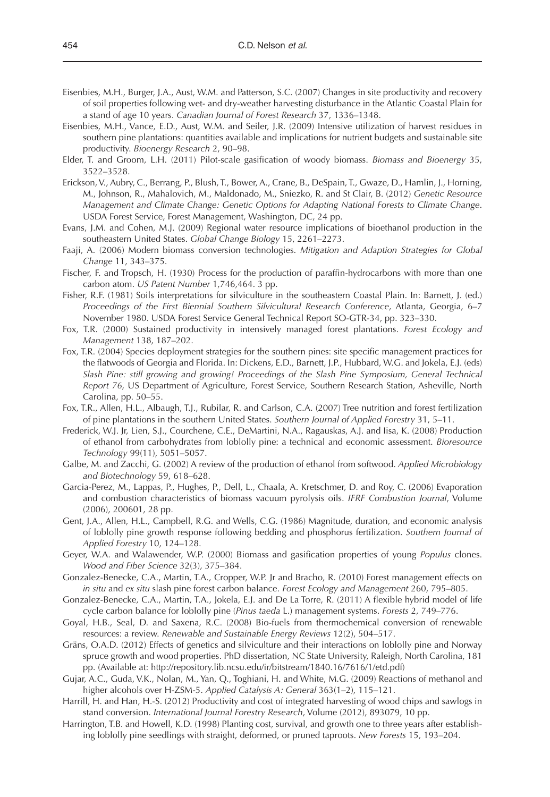- Eisenbies, M.H., Burger, J.A., Aust, W.M. and Patterson, S.C. (2007) Changes in site productivity and recovery of soil properties following wet- and dry-weather harvesting disturbance in the Atlantic Coastal Plain for a stand of age 10 years. *Canadian Journal of Forest Research* 37, 1336–1348.
- Eisenbies, M.H., Vance, E.D., Aust, W.M. and Seiler, J.R. (2009) Intensive utilization of harvest residues in southern pine plantations: quantities available and implications for nutrient budgets and sustainable site productivity. *Bioenergy Research* 2, 90–98.
- Elder, T. and Groom, L.H. (2011) Pilot-scale gasification of woody biomass. *Biomass and Bioenergy* 35, 3522–3528.
- Erickson, V., Aubry, C., Berrang, P., Blush, T., Bower, A., Crane, B., DeSpain, T., Gwaze, D., Hamlin, J., Horning, M., Johnson, R., Mahalovich, M., Maldonado, M., Sniezko, R. and St Clair, B. (2012) *Genetic Resource Management and Climate Change: Genetic Options for Adapting National Forests to Climate Change*. USDA Forest Service, Forest Management, Washington, DC, 24 pp.
- Evans, J.M. and Cohen, M.J. (2009) Regional water resource implications of bioethanol production in the southeastern United States. *Global Change Biology* 15, 2261–2273.
- Faaji, A. (2006) Modern biomass conversion technologies. *Mitigation and Adaption Strategies for Global Change* 11, 343–375.
- Fischer, F. and Tropsch, H. (1930) Process for the production of paraffin-hydrocarbons with more than one carbon atom. *US Patent Number* 1,746,464. 3 pp.
- Fisher, R.F. (1981) Soils interpretations for silviculture in the southeastern Coastal Plain. In: Barnett, J. (ed.) *Proceedings of the First Biennial Southern Silvicultural Research Conference*, Atlanta, Georgia, 6–7 November 1980. USDA Forest Service General Technical Report SO-GTR-34, pp. 323–330.
- Fox, T.R. (2000) Sustained productivity in intensively managed forest plantations. *Forest Ecology and Management* 138, 187–202.
- Fox, T.R. (2004) Species deployment strategies for the southern pines: site specific management practices for the flatwoods of Georgia and Florida. In: Dickens, E.D., Barnett, J.P., Hubbard, W.G. and Jokela, E.J. (eds) *Slash Pine: still growing and growing! Proceedings of the Slash Pine Symposium, General Technical Report 76*, US Department of Agriculture, Forest Service, Southern Research Station, Asheville, North Carolina, pp. 50–55.
- Fox, T.R., Allen, H.L., Albaugh, T.J., Rubilar, R. and Carlson, C.A. (2007) Tree nutrition and forest fertilization of pine plantations in the southern United States. *Southern Journal of Applied Forestry* 31, 5–11.
- Frederick, W.J. Jr, Lien, S.J., Courchene, C.E., DeMartini, N.A., Ragauskas, A.J. and Iisa, K. (2008) Production of ethanol from carbohydrates from loblolly pine: a technical and economic assessment. *Bioresource Technology* 99(11), 5051–5057.
- Galbe, M. and Zacchi, G. (2002) A review of the production of ethanol from softwood. *Applied Microbiology and Biotechnology* 59, 618–628.
- Garcia-Perez, M., Lappas, P., Hughes, P., Dell, L., Chaala, A. Kretschmer, D. and Roy, C. (2006) Evaporation and combustion characteristics of biomass vacuum pyrolysis oils. *IFRF Combustion Journal*, Volume (2006), 200601, 28 pp.
- Gent, J.A., Allen, H.L., Campbell, R.G. and Wells, C.G. (1986) Magnitude, duration, and economic analysis of loblolly pine growth response following bedding and phosphorus fertilization. *Southern Journal of Applied Forestry* 10, 124–128.
- Geyer, W.A. and Walawender, W.P. (2000) Biomass and gasification properties of young *Populus* clones. *Wood and Fiber Science* 32(3), 375–384.
- Gonzalez-Benecke, C.A., Martin, T.A., Cropper, W.P. Jr and Bracho, R. (2010) Forest management effects on *in situ* and *ex situ* slash pine forest carbon balance. *Forest Ecology and Management* 260, 795–805.
- Gonzalez-Benecke, C.A., Martin, T.A., Jokela, E.J. and De La Torre, R. (2011) A flexible hybrid model of life cycle carbon balance for loblolly pine (*Pinus taeda* L.) management systems. *Forests* 2, 749–776.
- Goyal, H.B., Seal, D. and Saxena, R.C. (2008) Bio-fuels from thermochemical conversion of renewable resources: a review. *Renewable and Sustainable Energy Reviews* 12(2), 504–517.
- Gräns, O.A.D. (2012) Effects of genetics and silviculture and their interactions on loblolly pine and Norway spruce growth and wood properties. PhD dissertation, NC State University, Raleigh, North Carolina, 181 pp. (Available at: [http://repository.lib.ncsu.edu/ir/bitstream/1840.16/7616/1/etd.pdf\)](http://repository.lib.ncsu.edu/ir/bitstream/1840.16/7616/1/etd.pdf)
- Gujar, A.C., Guda, V.K., Nolan, M., Yan, Q., Toghiani, H. and White, M.G. (2009) Reactions of methanol and higher alcohols over H-ZSM-5. *Applied Catalysis A: General* 363(1–2), 115–121.
- Harrill, H. and Han, H.-S. (2012) Productivity and cost of integrated harvesting of wood chips and sawlogs in stand conversion. *International Journal Forestry Research*, Volume (2012), 893079, 10 pp.
- Harrington, T.B. and Howell, K.D. (1998) Planting cost, survival, and growth one to three years after establishing loblolly pine seedlings with straight, deformed, or pruned taproots. *New Forests* 15, 193–204.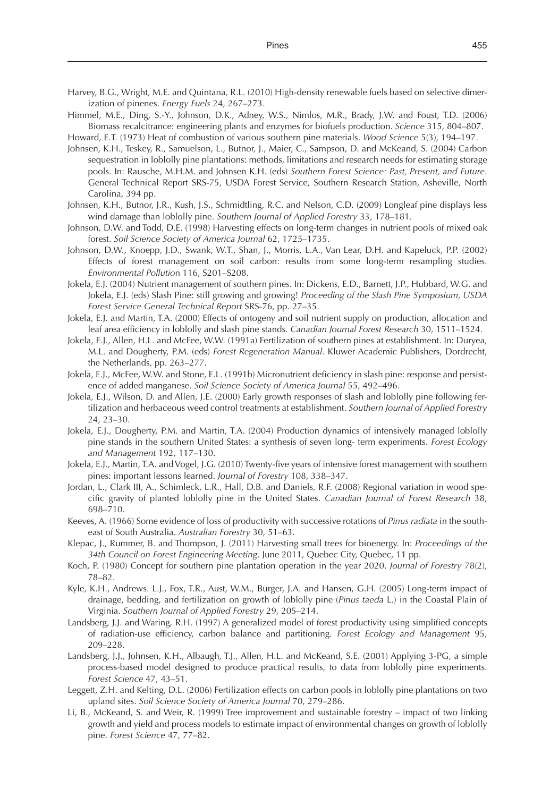- Harvey, B.G., Wright, M.E. and Quintana, R.L. (2010) High-density renewable fuels based on selective dimerization of pinenes. *Energy Fuels* 24, 267–273.
- Himmel, M.E., Ding, S.-Y., Johnson, D.K., Adney, W.S., Nimlos, M.R., Brady, J.W. and Foust, T.D. (2006) Biomass recalcitrance: engineering plants and enzymes for biofuels production. *Science* 315, 804–807.

Howard, E.T. (1973) Heat of combustion of various southern pine materials. *Wood Science* 5(3), 194–197.

- Johnsen, K.H., Teskey, R., Samuelson, L., Butnor, J., Maier, C., Sampson, D. and McKeand, S. (2004) Carbon sequestration in loblolly pine plantations: methods, limitations and research needs for estimating storage pools. In: Rausche, M.H.M. and Johnsen K.H. (eds) *Southern Forest Science: Past, Present, and Future*. General Technical Report SRS-75, USDA Forest Service, Southern Research Station, Asheville, North Carolina, 394 pp.
- Johnsen, K.H., Butnor, J.R., Kush, J.S., Schmidtling, R.C. and Nelson, C.D. (2009) Longleaf pine displays less wind damage than loblolly pine. *Southern Journal of Applied Forestry* 33, 178–181.
- Johnson, D.W. and Todd, D.E. (1998) Harvesting effects on long-term changes in nutrient pools of mixed oak forest. *Soil Science Society of America Journal* 62, 1725–1735.
- Johnson, D.W., Knoepp, J.D., Swank, W.T., Shan, J., Morris, L.A., Van Lear, D.H. and Kapeluck, P.P. (2002) Effects of forest management on soil carbon: results from some long-term resampling studies. *Environmental Pollutio*n 116, S201–S208.
- Jokela, E.J. (2004) Nutrient management of southern pines. In: Dickens, E.D., Barnett, J.P., Hubbard, W.G. and Jokela, E.J. (eds) Slash Pine: still growing and growing! *Proceeding of the Slash Pine Symposium, USDA Forest Service General Technical Report* SRS-76, pp. 27–35.
- Jokela, E.J. and Martin, T.A. (2000) Effects of ontogeny and soil nutrient supply on production, allocation and leaf area efficiency in loblolly and slash pine stands. *Canadian Journal Forest Research* 30, 1511–1524.
- Jokela, E.J., Allen, H.L. and McFee, W.W. (1991a) Fertilization of southern pines at establishment. In: Duryea, M.L. and Dougherty, P.M. (eds) *Forest Regeneration Manual*. Kluwer Academic Publishers, Dordrecht, the Netherlands, pp. 263–277.
- Jokela, E.J., McFee, W.W. and Stone, E.L. (1991b) Micronutrient deficiency in slash pine: response and persistence of added manganese. *Soil Science Society of America Journal* 55, 492–496.
- Jokela, E.J., Wilson, D. and Allen, J.E. (2000) Early growth responses of slash and loblolly pine following fertilization and herbaceous weed control treatments at establishment. *Southern Journal of Applied Forestry* 24, 23–30.
- Jokela, E.J., Dougherty, P.M. and Martin, T.A. (2004) Production dynamics of intensively managed loblolly pine stands in the southern United States: a synthesis of seven long- term experiments. *Forest Ecology and Management* 192, 117–130.
- Jokela, E.J., Martin, T.A. and Vogel, J.G. (2010) Twenty-five years of intensive forest management with southern pines: important lessons learned. *Journal of Forestry* 108, 338–347.
- Jordan, L., Clark III, A., Schimleck, L.R., Hall, D.B. and Daniels, R.F. (2008) Regional variation in wood specific gravity of planted loblolly pine in the United States. *Canadian Journal of Forest Research* 38, 698–710.
- Keeves, A. (1966) Some evidence of loss of productivity with successive rotations of *Pinus radiata* in the southeast of South Australia. *Australian Forestry* 30, 51–63.
- Klepac, J., Rummer, B. and Thompson, J. (2011) Harvesting small trees for bioenergy. In: *Proceedings of the 34th Council on Forest Engineering Meeting*. June 2011, Quebec City, Quebec, 11 pp.
- Koch, P. (1980) Concept for southern pine plantation operation in the year 2020. *Journal of Forestry* 78(2), 78–82.
- Kyle, K.H., Andrews. L.J., Fox, T.R., Aust, W.M., Burger, J.A. and Hansen, G.H. (2005) Long-term impact of drainage, bedding, and fertilization on growth of loblolly pine (*Pinus taeda* L.) in the Coastal Plain of Virginia. *Southern Journal of Applied Forestry* 29, 205–214.
- Landsberg, J.J. and Waring, R.H. (1997) A generalized model of forest productivity using simplified concepts of radiation-use efficiency, carbon balance and partitioning. *Forest Ecology and Management* 95, 209–228.
- Landsberg, J.J., Johnsen, K.H., Albaugh, T.J., Allen, H.L. and McKeand, S.E. (2001) Applying 3-PG, a simple process-based model designed to produce practical results, to data from loblolly pine experiments. *Forest Science* 47, 43–51.
- Leggett, Z.H. and Kelting, D.L. (2006) Fertilization effects on carbon pools in loblolly pine plantations on two upland sites. *Soil Science Society of America Journal* 70, 279–286.
- Li, B., McKeand, S. and Weir, R. (1999) Tree improvement and sustainable forestry impact of two linking growth and yield and process models to estimate impact of environmental changes on growth of loblolly pine. *Forest Science* 47, 77–82.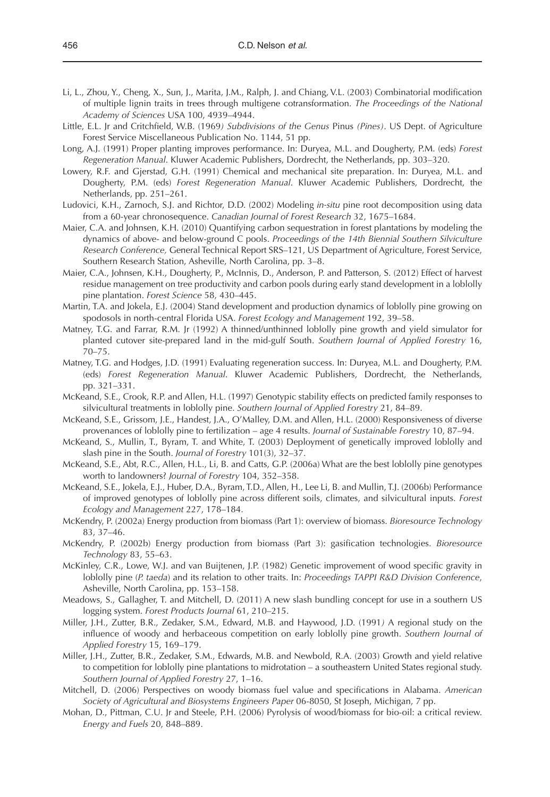- Li, L., Zhou, Y., Cheng, X., Sun, J., Marita, J.M., Ralph, J. and Chiang, V.L. (2003) Combinatorial modification of multiple lignin traits in trees through multigene cotransformation. *The Proceedings of the National Academy of Sciences* USA 100, 4939–4944.
- Little, E.L. Jr and Critchfield, W.B. (1969*) Subdivisions of the Genus* Pinus *(Pines)*. US Dept. of Agriculture Forest Service Miscellaneous Publication No. 1144, 51 pp.
- Long, A.J. (1991) Proper planting improves performance. In: Duryea, M.L. and Dougherty, P.M. (eds) *Forest Regeneration Manual*. Kluwer Academic Publishers, Dordrecht, the Netherlands, pp. 303–320.
- Lowery, R.F. and Gjerstad, G.H. (1991) Chemical and mechanical site preparation. In: Duryea, M.L. and Dougherty, P.M. (eds) *Forest Regeneration Manual*. Kluwer Academic Publishers, Dordrecht, the Netherlands, pp. 251–261.
- Ludovici, K.H., Zarnoch, S.J. and Richtor, D.D. (2002) Modeling *in-situ* pine root decomposition using data from a 60-year chronosequence. *Canadian Journal of Forest Research* 32, 1675–1684.
- Maier, C.A. and Johnsen, K.H. (2010) Quantifying carbon sequestration in forest plantations by modeling the dynamics of above- and below-ground C pools. *Proceedings of the 14th Biennial Southern Silviculture Research Conference,* General Technical Report SRS–121, US Department of Agriculture, Forest Service, Southern Research Station, Asheville, North Carolina, pp. 3–8.
- Maier, C.A., Johnsen, K.H., Dougherty, P., McInnis, D., Anderson, P. and Patterson, S. (2012) Effect of harvest residue management on tree productivity and carbon pools during early stand development in a loblolly pine plantation. *Forest Science* 58, 430–445.
- Martin, T.A. and Jokela, E.J. (2004) Stand development and production dynamics of loblolly pine growing on spodosols in north-central Florida USA. *Forest Ecology and Management* 192, 39–58.
- Matney, T.G. and Farrar, R.M. Jr (1992) A thinned/unthinned loblolly pine growth and yield simulator for planted cutover site-prepared land in the mid-gulf South. *Southern Journal of Applied Forestry* 16, 70–75.
- Matney, T.G. and Hodges, J.D. (1991) Evaluating regeneration success. In: Duryea, M.L. and Dougherty, P.M. (eds) *Forest Regeneration Manual*. Kluwer Academic Publishers, Dordrecht, the Netherlands, pp. 321–331.
- McKeand, S.E., Crook, R.P. and Allen, H.L. (1997) Genotypic stability effects on predicted family responses to silvicultural treatments in loblolly pine. *Southern Journal of Applied Forestry* 21, 84–89.
- McKeand, S.E., Grissom, J.E., Handest, J.A., O'Malley, D.M. and Allen, H.L. (2000) Responsiveness of diverse provenances of loblolly pine to fertilization – age 4 results. *Journal of Sustainable Forestry* 10, 87–94.
- McKeand, S., Mullin, T., Byram, T. and White, T. (2003) Deployment of genetically improved loblolly and slash pine in the South. *Journal of Forestry* 101(3), 32–37.
- McKeand, S.E., Abt, R.C., Allen, H.L., Li, B. and Catts, G.P. (2006a) What are the best loblolly pine genotypes worth to landowners? *Journal of Forestry* 104, 352–358.
- McKeand, S.E., Jokela, E.J., Huber, D.A., Byram, T.D., Allen, H., Lee Li, B. and Mullin, T.J. (2006b) Performance of improved genotypes of loblolly pine across different soils, climates, and silvicultural inputs. *Forest Ecology and Management* 227, 178–184.
- McKendry, P. (2002a) Energy production from biomass (Part 1): overview of biomass. *Bioresource Technology* 83, 37–46.
- McKendry, P. (2002b) Energy production from biomass (Part 3): gasification technologies. *Bioresource Technology* 83, 55–63.
- McKinley, C.R., Lowe, W.J. and van Buijtenen, J.P. (1982) Genetic improvement of wood specific gravity in loblolly pine (*P. taeda*) and its relation to other traits. In: *Proceedings TAPPI R&D Division Conference*, Asheville, North Carolina, pp. 153–158.
- Meadows, S., Gallagher, T. and Mitchell, D. (2011) A new slash bundling concept for use in a southern US logging system. *Forest Products Journal* 61, 210–215.
- Miller, J.H., Zutter, B.R., Zedaker, S.M., Edward, M.B. and Haywood, J.D. (1991*)* A regional study on the influence of woody and herbaceous competition on early loblolly pine growth. *Southern Journal of Applied Forestry* 15, 169–179.
- Miller, J.H., Zutter, B.R., Zedaker, S.M., Edwards, M.B. and Newbold, R.A. (2003) Growth and yield relative to competition for loblolly pine plantations to midrotation – a southeastern United States regional study. *Southern Journal of Applied Forestry* 27, 1–16.
- Mitchell, D. (2006) Perspectives on woody biomass fuel value and specifications in Alabama. *American Society of Agricultural and Biosystems Engineers Paper* 06-8050, St Joseph, Michigan, 7 pp.
- Mohan, D., Pittman, C.U. Jr and Steele, P.H. (2006) Pyrolysis of wood/biomass for bio-oil: a critical review. *Energy and Fuels* 20, 848–889.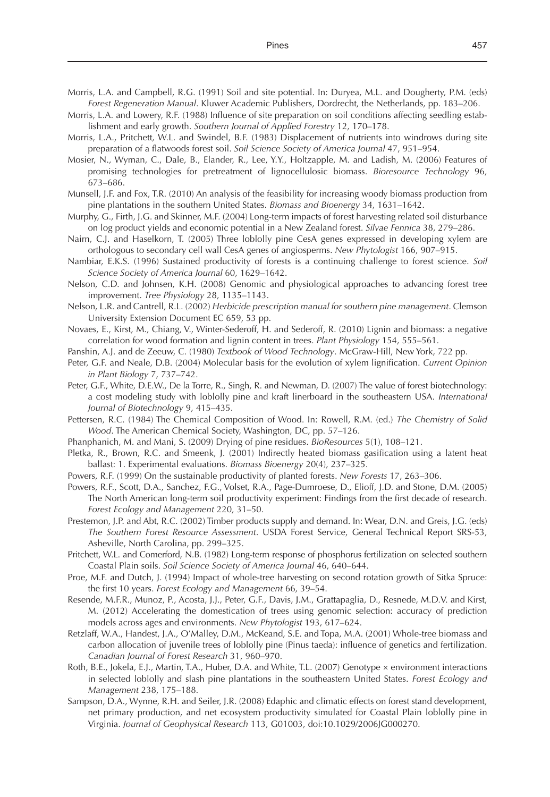- Morris, L.A. and Campbell, R.G. (1991) Soil and site potential. In: Duryea, M.L. and Dougherty, P.M. (eds) *Forest Regeneration Manual*. Kluwer Academic Publishers, Dordrecht, the Netherlands, pp. 183–206.
- Morris, L.A. and Lowery, R.F. (1988) Influence of site preparation on soil conditions affecting seedling establishment and early growth. *Southern Journal of Applied Forestry* 12, 170–178.
- Morris, L.A., Pritchett, W.L. and Swindel, B.F. (1983) Displacement of nutrients into windrows during site preparation of a flatwoods forest soil. *Soil Science Society of America Journal* 47, 951–954.
- Mosier, N., Wyman, C., Dale, B., Elander, R., Lee, Y.Y., Holtzapple, M. and Ladish, M. (2006) Features of promising technologies for pretreatment of lignocellulosic biomass. *Bioresource Technology* 96, 673–686.
- Munsell, J.F. and Fox, T.R. (2010) An analysis of the feasibility for increasing woody biomass production from pine plantations in the southern United States. *Biomass and Bioenergy* 34, 1631–1642.
- Murphy, G., Firth, J.G. and Skinner, M.F. (2004) Long-term impacts of forest harvesting related soil disturbance on log product yields and economic potential in a New Zealand forest. *Silvae Fennica* 38, 279–286.
- Nairn, C.J. and Haselkorn, T. (2005) Three loblolly pine CesA genes expressed in developing xylem are orthologous to secondary cell wall CesA genes of angiosperms. *New Phytologist* 166, 907–915.
- Nambiar, E.K.S. (1996) Sustained productivity of forests is a continuing challenge to forest science. *Soil Science Society of America Journal* 60, 1629–1642.
- Nelson, C.D. and Johnsen, K.H. (2008) Genomic and physiological approaches to advancing forest tree improvement. *Tree Physiology* 28, 1135–1143.
- Nelson, L.R. and Cantrell, R.L. (2002) *Herbicide prescription manual for southern pine management*. Clemson University Extension Document EC 659, 53 pp.
- Novaes, E., Kirst, M., Chiang, V., Winter-Sederoff, H. and Sederoff, R. (2010) Lignin and biomass: a negative correlation for wood formation and lignin content in trees. *Plant Physiology* 154, 555–561.
- Panshin, A.J. and de Zeeuw, C. (1980) *Textbook of Wood Technology*. McGraw-Hill, New York, 722 pp.
- Peter, G.F. and Neale, D.B. (2004) Molecular basis for the evolution of xylem lignification. *Current Opinion in Plant Biology* 7, 737–742.
- Peter, G.F., White, D.E.W., De la Torre, R., Singh, R. and Newman, D. (2007) The value of forest biotechnology: a cost modeling study with loblolly pine and kraft linerboard in the southeastern USA. *International Journal of Biotechnology* 9, 415–435.
- Pettersen, R.C. (1984) The Chemical Composition of Wood. In: Rowell, R.M. (ed.) *The Chemistry of Solid Wood*. The American Chemical Society, Washington, DC, pp. 57–126.
- Phanphanich, M. and Mani, S. (2009) Drying of pine residues. *BioResources* 5(1), 108–121.
- Pletka, R., Brown, R.C. and Smeenk, J. (2001) Indirectly heated biomass gasification using a latent heat ballast: 1. Experimental evaluations. *Biomass Bioenergy* 20(4), 237–325.
- Powers, R.F. (1999) On the sustainable productivity of planted forests. *New Forests* 17, 263–306.
- Powers, R.F., Scott, D.A., Sanchez, F.G., Volset, R.A., Page-Dumroese, D., Elioff, J.D. and Stone, D.M. (2005) The North American long-term soil productivity experiment: Findings from the first decade of research. *Forest Ecology and Management* 220, 31–50.
- Prestemon, J.P. and Abt, R.C. (2002) Timber products supply and demand. In: Wear, D.N. and Greis, J.G. (eds) *The Southern Forest Resource Assessment*. USDA Forest Service, General Technical Report SRS-53, Asheville, North Carolina, pp. 299–325.
- Pritchett, W.L. and Comerford, N.B. (1982) Long-term response of phosphorus fertilization on selected southern Coastal Plain soils. *Soil Science Society of America Journal* 46, 640–644.
- Proe, M.F. and Dutch, J. (1994) Impact of whole-tree harvesting on second rotation growth of Sitka Spruce: the first 10 years. *Forest Ecology and Management* 66, 39–54.
- Resende, M.F.R., Munoz, P., Acosta, J.J., Peter, G.F., Davis, J.M., Grattapaglia, D., Resnede, M.D.V. and Kirst, M. (2012) Accelerating the domestication of trees using genomic selection: accuracy of prediction models across ages and environments. *New Phytologist* 193, 617–624.
- Retzlaff, W.A., Handest, J.A., O'Malley, D.M., McKeand, S.E. and Topa, M.A. (2001) Whole-tree biomass and carbon allocation of juvenile trees of loblolly pine (Pinus taeda): influence of genetics and fertilization. *Canadian Journal of Forest Research* 31, 960–970.
- Roth, B.E., Jokela, E.J., Martin, T.A., Huber, D.A. and White, T.L. (2007) Genotype × environment interactions in selected loblolly and slash pine plantations in the southeastern United States. *Forest Ecology and Management* 238, 175–188.
- Sampson, D.A., Wynne, R.H. and Seiler, J.R. (2008) Edaphic and climatic effects on forest stand development, net primary production, and net ecosystem productivity simulated for Coastal Plain loblolly pine in Virginia. *Journal of Geophysical Research* 113, G01003, doi:10.1029/2006JG000270.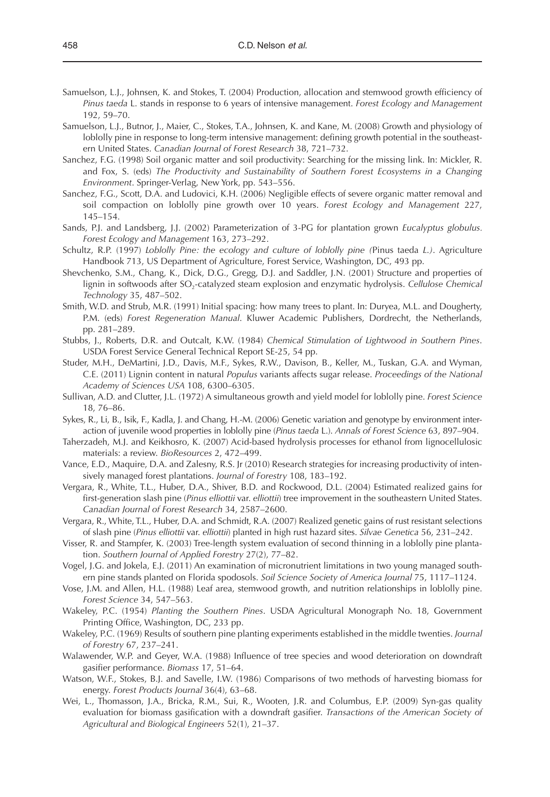- Samuelson, L.J., Johnsen, K. and Stokes, T. (2004) Production, allocation and stemwood growth efficiency of *Pinus taeda* L. stands in response to 6 years of intensive management. *Forest Ecology and Management* 192, 59–70.
- Samuelson, L.J., Butnor, J., Maier, C., Stokes, T.A., Johnsen, K. and Kane, M. (2008) Growth and physiology of loblolly pine in response to long-term intensive management: defining growth potential in the southeastern United States. *Canadian Journal of Forest Research* 38, 721–732.
- Sanchez, F.G. (1998) Soil organic matter and soil productivity: Searching for the missing link. In: Mickler, R. and Fox, S. (eds) *The Productivity and Sustainability of Southern Forest Ecosystems in a Changing Environment*. Springer-Verlag, New York, pp. 543–556.
- Sanchez, F.G., Scott, D.A. and Ludovici, K.H. (2006) Negligible effects of severe organic matter removal and soil compaction on loblolly pine growth over 10 years. *Forest Ecology and Management* 227, 145–154.
- Sands, P.J. and Landsberg, J.J. (2002) Parameterization of 3-PG for plantation grown *Eucalyptus globulus. Forest Ecology and Management* 163, 273–292.
- Schultz, R.P. (1997) *Loblolly Pine: the ecology and culture of loblolly pine (*Pinus taeda *L*.*)*. Agriculture Handbook 713, US Department of Agriculture, Forest Service, Washington, DC, 493 pp.
- Shevchenko, S.M., Chang, K., Dick, D.G., Gregg, D.J. and Saddler, J.N. (2001) Structure and properties of lignin in softwoods after SO<sub>2</sub>-catalyzed steam explosion and enzymatic hydrolysis. *Cellulose Chemical Technology* 35, 487–502.
- Smith, W.D. and Strub, M.R. (1991) Initial spacing: how many trees to plant. In: Duryea, M.L. and Dougherty, P.M. (eds) *Forest Regeneration Manual*. Kluwer Academic Publishers, Dordrecht, the Netherlands, pp. 281–289.
- Stubbs, J., Roberts, D.R. and Outcalt, K.W. (1984) *Chemical Stimulation of Lightwood in Southern Pines*. USDA Forest Service General Technical Report SE-25, 54 pp.
- Studer, M.H., DeMartini, J.D., Davis, M.F., Sykes, R.W., Davison, B., Keller, M., Tuskan, G.A. and Wyman, C.E. (2011) Lignin content in natural *Populus* variants affects sugar release. *Proceedings of the National Academy of Sciences USA* 108, 6300–6305.
- Sullivan, A.D. and Clutter, J.L. (1972) A simultaneous growth and yield model for loblolly pine. *Forest Science* 18, 76–86.
- Sykes, R., Li, B., Isik, F., Kadla, J. and Chang, H.-M. (2006) Genetic variation and genotype by environment interaction of juvenile wood properties in loblolly pine (*Pinus taeda* L.). *Annals of Forest Science* 63, 897–904.
- Taherzadeh, M.J. and Keikhosro, K. (2007) Acid-based hydrolysis processes for ethanol from lignocellulosic materials: a review. *BioResources* 2, 472–499.
- Vance, E.D., Maquire, D.A. and Zalesny, R.S. Jr (2010) Research strategies for increasing productivity of intensively managed forest plantations. *Journal of Forestry* 108, 183–192.
- Vergara, R., White, T.L., Huber, D.A., Shiver, B.D. and Rockwood, D.L. (2004) Estimated realized gains for first-generation slash pine (*Pinus elliottii* var. *elliottii*) tree improvement in the southeastern United States. *Canadian Journal of Forest Research* 34, 2587–2600.
- Vergara, R., White, T.L., Huber, D.A. and Schmidt, R.A. (2007) Realized genetic gains of rust resistant selections of slash pine (*Pinus elliottii* var. *elliottii*) planted in high rust hazard sites. *Silvae Genetica* 56, 231–242.
- Visser, R. and Stampfer, K. (2003) Tree-length system evaluation of second thinning in a loblolly pine plantation. *Southern Journal of Applied Forestry* 27(2), 77–82.
- Vogel, J.G. and Jokela, E.J. (2011) An examination of micronutrient limitations in two young managed southern pine stands planted on Florida spodosols. *Soil Science Society of America Journal* 75, 1117–1124.
- Vose, J.M. and Allen, H.L. (1988) Leaf area, stemwood growth, and nutrition relationships in loblolly pine. *Forest Science* 34, 547–563.
- Wakeley, P.C. (1954) *Planting the Southern Pines*. USDA Agricultural Monograph No. 18, Government Printing Office, Washington, DC, 233 pp.
- Wakeley, P.C. (1969) Results of southern pine planting experiments established in the middle twenties. *Journal of Forestry* 67, 237–241.
- Walawender, W.P. and Geyer, W.A. (1988) Influence of tree species and wood deterioration on downdraft gasifier performance. *Biomass* 17, 51–64.
- Watson, W.F., Stokes, B.J. and Savelle, I.W. (1986) Comparisons of two methods of harvesting biomass for energy. *Forest Products Journal* 36(4), 63–68.
- Wei, L., Thomasson, J.A., Bricka, R.M., Sui, R., Wooten, J.R. and Columbus, E.P. (2009) Syn-gas quality evaluation for biomass gasification with a downdraft gasifier. *Transactions of the American Society of Agricultural and Biological Engineers* 52(1), 21–37.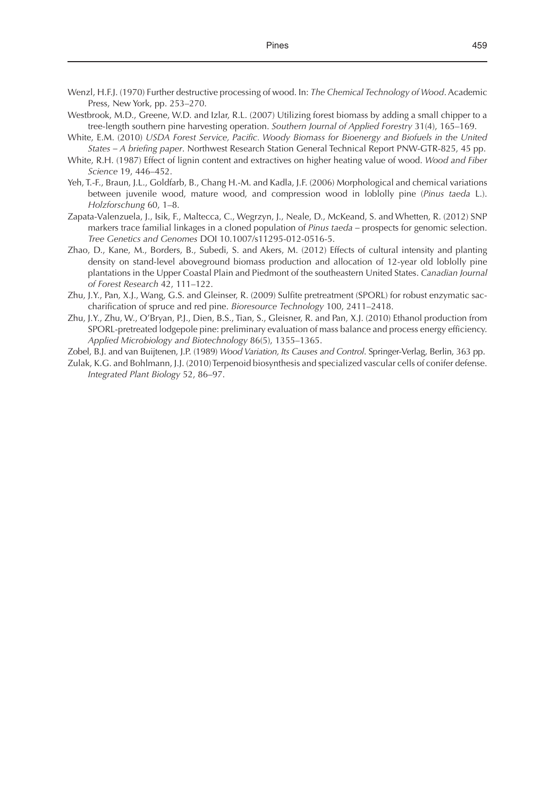- Wenzl, H.F.J. (1970) Further destructive processing of wood. In: *The Chemical Technology of Wood*. Academic Press, New York, pp. 253–270.
- Westbrook, M.D., Greene, W.D. and Izlar, R.L. (2007) Utilizing forest biomass by adding a small chipper to a tree-length southern pine harvesting operation. *Southern Journal of Applied Forestry* 31(4), 165–169.
- White, E.M. (2010) *USDA Forest Service, Pacific. Woody Biomass for Bioenergy and Biofuels in the United States – A briefing paper*. Northwest Research Station General Technical Report PNW-GTR-825, 45 pp.
- White, R.H. (1987) Effect of lignin content and extractives on higher heating value of wood. *Wood and Fiber Science* 19, 446–452.
- Yeh, T.-F., Braun, J.L., Goldfarb, B., Chang H.-M. and Kadla, J.F. (2006) Morphological and chemical variations between juvenile wood, mature wood, and compression wood in loblolly pine (*Pinus taeda* L.). *Holzforschung* 60, 1–8.
- Zapata-Valenzuela, J., Isik, F., Maltecca, C., Wegrzyn, J., Neale, D., McKeand, S. and Whetten, R. (2012) SNP markers trace familial linkages in a cloned population of *Pinus taeda –* prospects for genomic selection. *Tree Genetics and Genomes* DOI 10.1007/s11295-012-0516-5.
- Zhao, D., Kane, M., Borders, B., Subedi, S. and Akers, M. (2012) Effects of cultural intensity and planting density on stand-level aboveground biomass production and allocation of 12-year old loblolly pine plantations in the Upper Coastal Plain and Piedmont of the southeastern United States. *Canadian Journal of Forest Research* 42, 111–122.
- Zhu, J.Y., Pan, X.J., Wang, G.S. and Gleinser, R. (2009) Sulfite pretreatment (SPORL) for robust enzymatic saccharification of spruce and red pine. *Bioresource Technology* 100, 2411–2418.
- Zhu, J.Y., Zhu, W., O'Bryan, P.J., Dien, B.S., Tian, S., Gleisner, R. and Pan, X.J. (2010) Ethanol production from SPORL-pretreated lodgepole pine: preliminary evaluation of mass balance and process energy efficiency. *Applied Microbiology and Biotechnology* 86(5), 1355–1365.
- Zobel, B.J. and van Buijtenen, J.P. (1989) *Wood Variation, Its Causes and Control*. Springer-Verlag, Berlin, 363 pp.
- Zulak, K.G. and Bohlmann, J.J. (2010) Terpenoid biosynthesis and specialized vascular cells of conifer defense. *Integrated Plant Biology* 52, 86–97.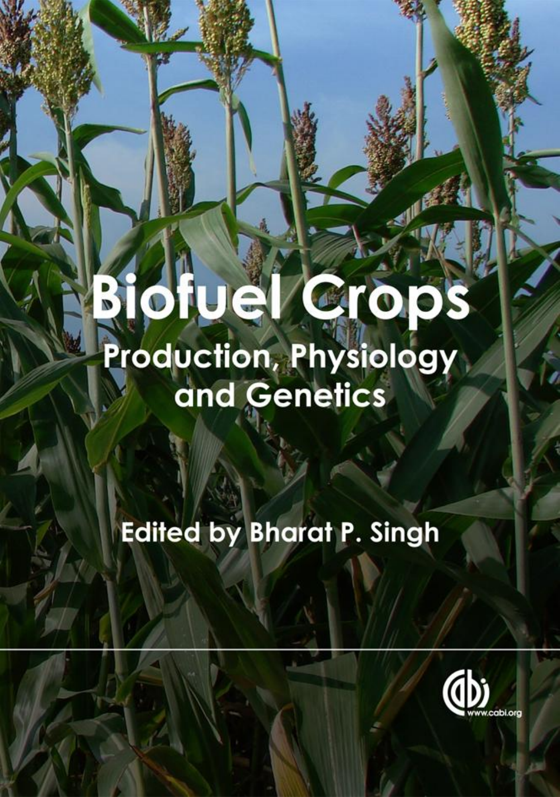# **Biofuel Crops Production, Physiology** and Genetics

**Edited by Bharat P. Singh** 

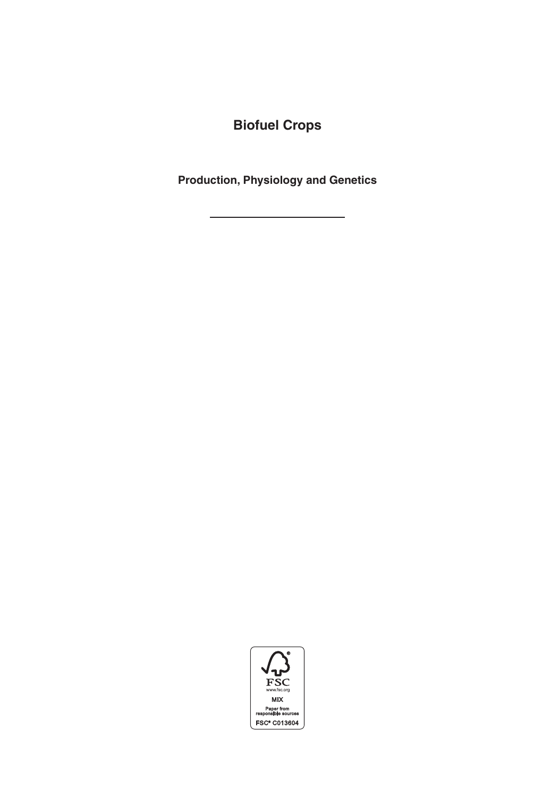# **Biofuel Crops**

**Production, Physiology and Genetics**

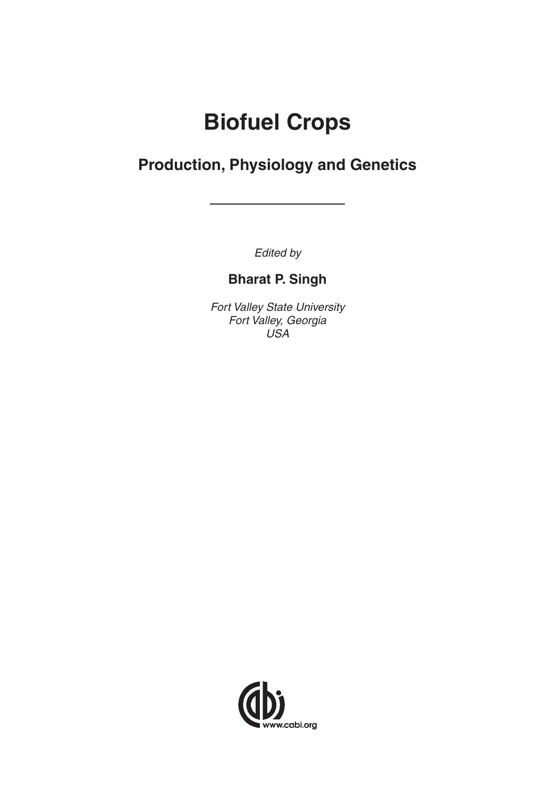# **Biofuel Crops**

# **Production, Physiology and Genetics**

*Edited by*

# **Bharat P. Singh**

*Fort Valley State University Fort Valley, Georgia USA*

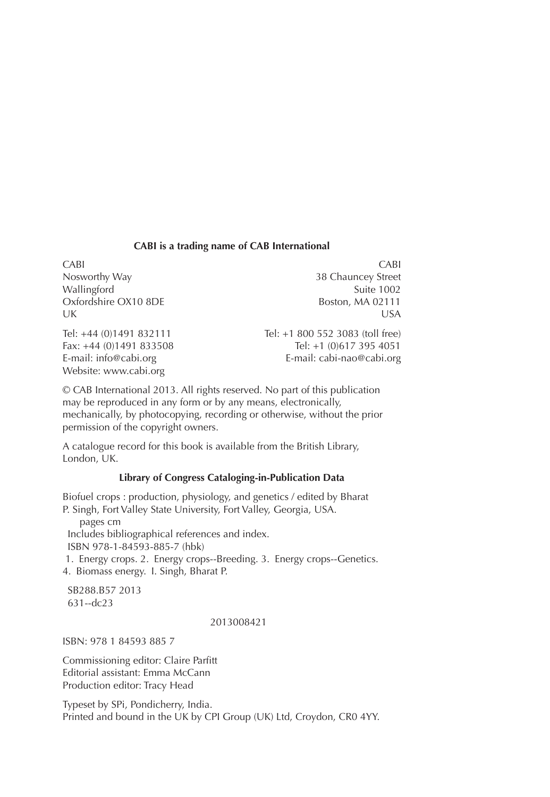### **CABI is a trading name of CAB International**

CABI CABI Nosworthy Way 38 Chauncey Street Wallingford Suite 1002 Oxfordshire OX10 8DE Boston, MA 02111 UK USA

Website:<www.cabi.org>

Tel: +44 (0)1491 832111 Tel: +1 800 552 3083 (toll free) Fax: +44 (0)1491 833508 Tel: +1 (0)617 395 4051 E-mail: info@cabi.org E-mail: cabi-nao@cabi.org

© CAB International 2013. All rights reserved. No part of this publication may be reproduced in any form or by any means, electronically, mechanically, by photocopying, recording or otherwise, without the prior permission of the copyright owners.

A catalogue record for this book is available from the British Library, London, UK.

#### **Library of Congress Cataloging-in-Publication Data**

Biofuel crops : production, physiology, and genetics / edited by Bharat P. Singh, Fort Valley State University, Fort Valley, Georgia, USA. pages cm Includes bibliographical references and index. ISBN 978-1-84593-885-7 (hbk)

 1. Energy crops. 2. Energy crops--Breeding. 3. Energy crops--Genetics. 4. Biomass energy. I. Singh, Bharat P.

SB288.B57 2013 631--dc23

#### 2013008421

ISBN: 978 1 84593 885 7

Commissioning editor: Claire Parfitt Editorial assistant: Emma McCann Production editor: Tracy Head

Typeset by SPi, Pondicherry, India. Printed and bound in the UK by CPI Group (UK) Ltd, Croydon, CR0 4YY.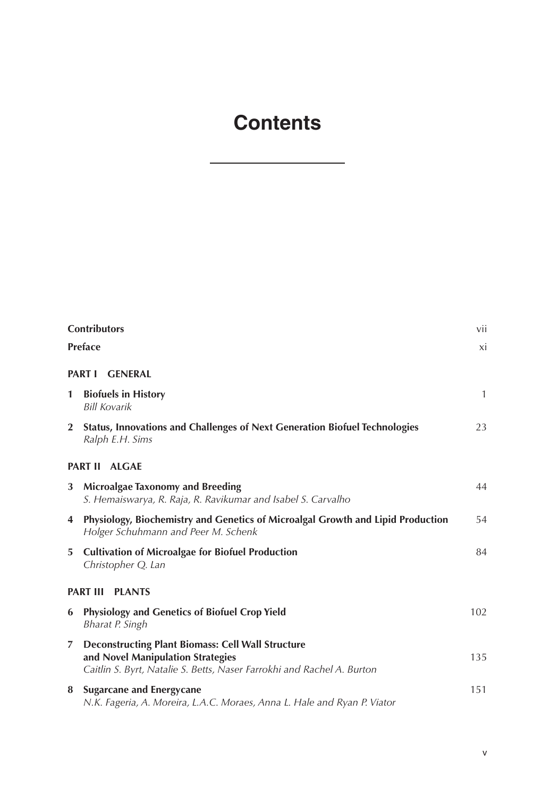# **Contents**

|              | <b>Contributors</b>                                                                                                                                                     | vii |
|--------------|-------------------------------------------------------------------------------------------------------------------------------------------------------------------------|-----|
|              | <b>Preface</b>                                                                                                                                                          | xi  |
|              | <b>GENERAL</b><br><b>PART I</b>                                                                                                                                         |     |
| 1            | <b>Biofuels in History</b><br><b>Bill Kovarik</b>                                                                                                                       | 1   |
| $\mathbf{2}$ | Status, Innovations and Challenges of Next Generation Biofuel Technologies<br>Ralph E.H. Sims                                                                           | 23  |
|              | <b>PART II ALGAE</b>                                                                                                                                                    |     |
| 3            | <b>Microalgae Taxonomy and Breeding</b><br>S. Hemaiswarya, R. Raja, R. Ravikumar and Isabel S. Carvalho                                                                 | 44  |
| 4            | Physiology, Biochemistry and Genetics of Microalgal Growth and Lipid Production<br>Holger Schuhmann and Peer M. Schenk                                                  | 54  |
| 5            | <b>Cultivation of Microalgae for Biofuel Production</b><br>Christopher Q. Lan                                                                                           | 84  |
|              | <b>PART III</b><br><b>PLANTS</b>                                                                                                                                        |     |
| 6            | <b>Physiology and Genetics of Biofuel Crop Yield</b><br><b>Bharat P. Singh</b>                                                                                          | 102 |
| 7            | <b>Deconstructing Plant Biomass: Cell Wall Structure</b><br>and Novel Manipulation Strategies<br>Caitlin S. Byrt, Natalie S. Betts, Naser Farrokhi and Rachel A. Burton | 135 |
| 8            | <b>Sugarcane and Energycane</b><br>N.K. Fageria, A. Moreira, L.A.C. Moraes, Anna L. Hale and Ryan P. Viator                                                             | 151 |